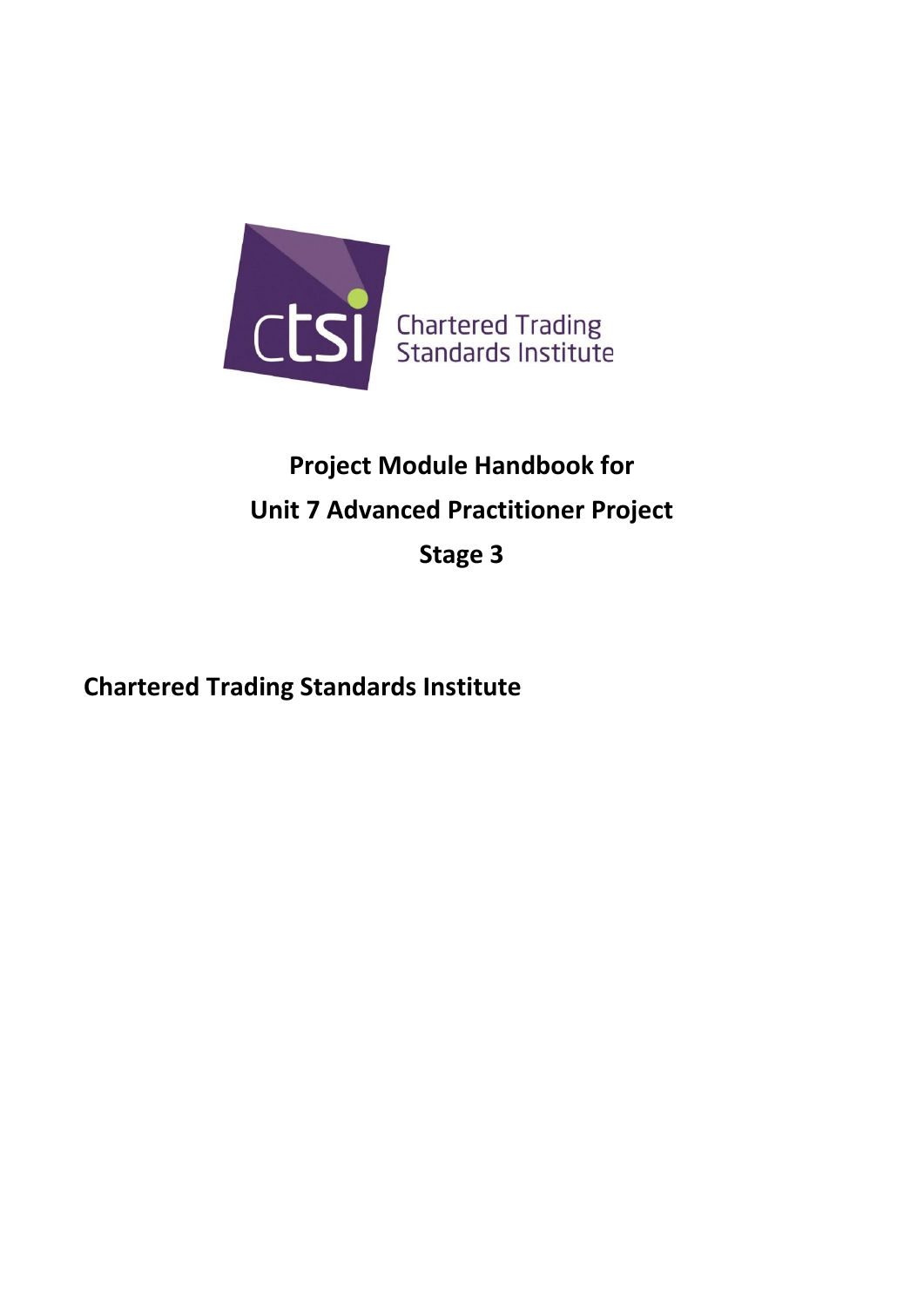

# **Project Module Handbook for Unit 7 Advanced Practitioner Project**

**Stage 3**

**Chartered Trading Standards Institute**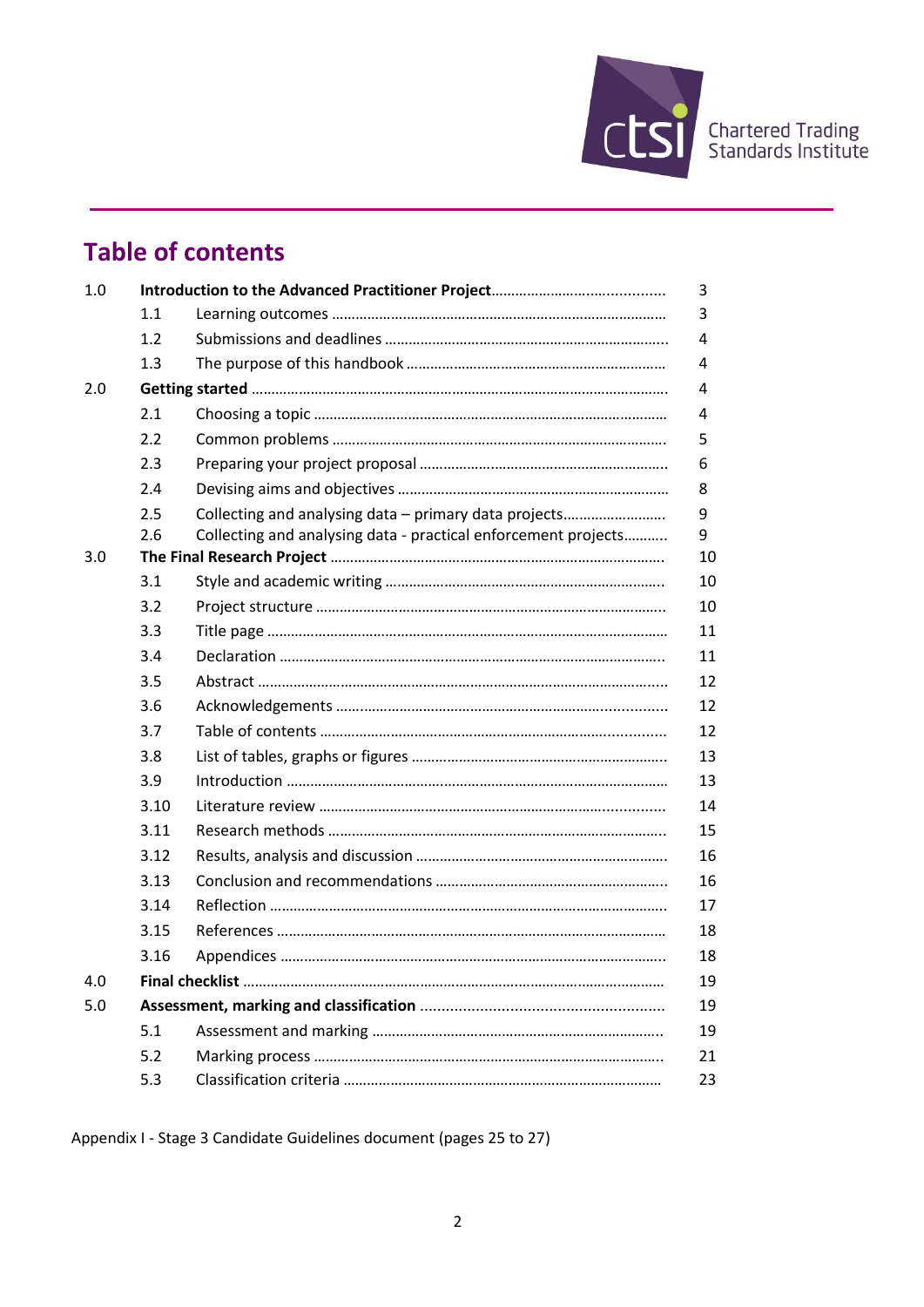

## **Table of contents**

| 1.0 |      |                                                                |         |  |  |
|-----|------|----------------------------------------------------------------|---------|--|--|
|     | 1.1  |                                                                | 3       |  |  |
|     | 1.2  |                                                                | 4       |  |  |
|     | 1.3  |                                                                | 4       |  |  |
| 2.0 |      |                                                                |         |  |  |
|     | 2.1  |                                                                | 4       |  |  |
|     | 2.2  |                                                                | 5       |  |  |
|     | 2.3  |                                                                | 6       |  |  |
|     | 2.4  |                                                                | 8       |  |  |
|     | 2.5  | Collecting and analysing data - primary data projects          | 9       |  |  |
|     | 2.6  | Collecting and analysing data - practical enforcement projects | 9<br>10 |  |  |
| 3.0 |      |                                                                |         |  |  |
|     | 3.1  |                                                                | 10      |  |  |
|     | 3.2  |                                                                | 10      |  |  |
|     | 3.3  |                                                                | 11      |  |  |
|     | 3.4  |                                                                | 11      |  |  |
|     | 3.5  |                                                                | 12      |  |  |
|     | 3.6  |                                                                | 12      |  |  |
|     | 3.7  |                                                                | 12      |  |  |
|     | 3.8  |                                                                | 13      |  |  |
|     | 3.9  |                                                                | 13      |  |  |
|     | 3.10 |                                                                | 14      |  |  |
|     | 3.11 |                                                                | 15      |  |  |
|     | 3.12 |                                                                | 16      |  |  |
|     | 3.13 |                                                                | 16      |  |  |
|     | 3.14 |                                                                | 17      |  |  |
|     | 3.15 |                                                                | 18      |  |  |
|     | 3.16 |                                                                | 18      |  |  |
| 4.0 |      |                                                                | 19      |  |  |
| 5.0 |      |                                                                |         |  |  |
|     | 5.1  |                                                                | 19      |  |  |
|     | 5.2  |                                                                | 21      |  |  |
|     | 5.3  |                                                                | 23      |  |  |

Appendix I - Stage 3 Candidate Guidelines document (pages 25 to 27)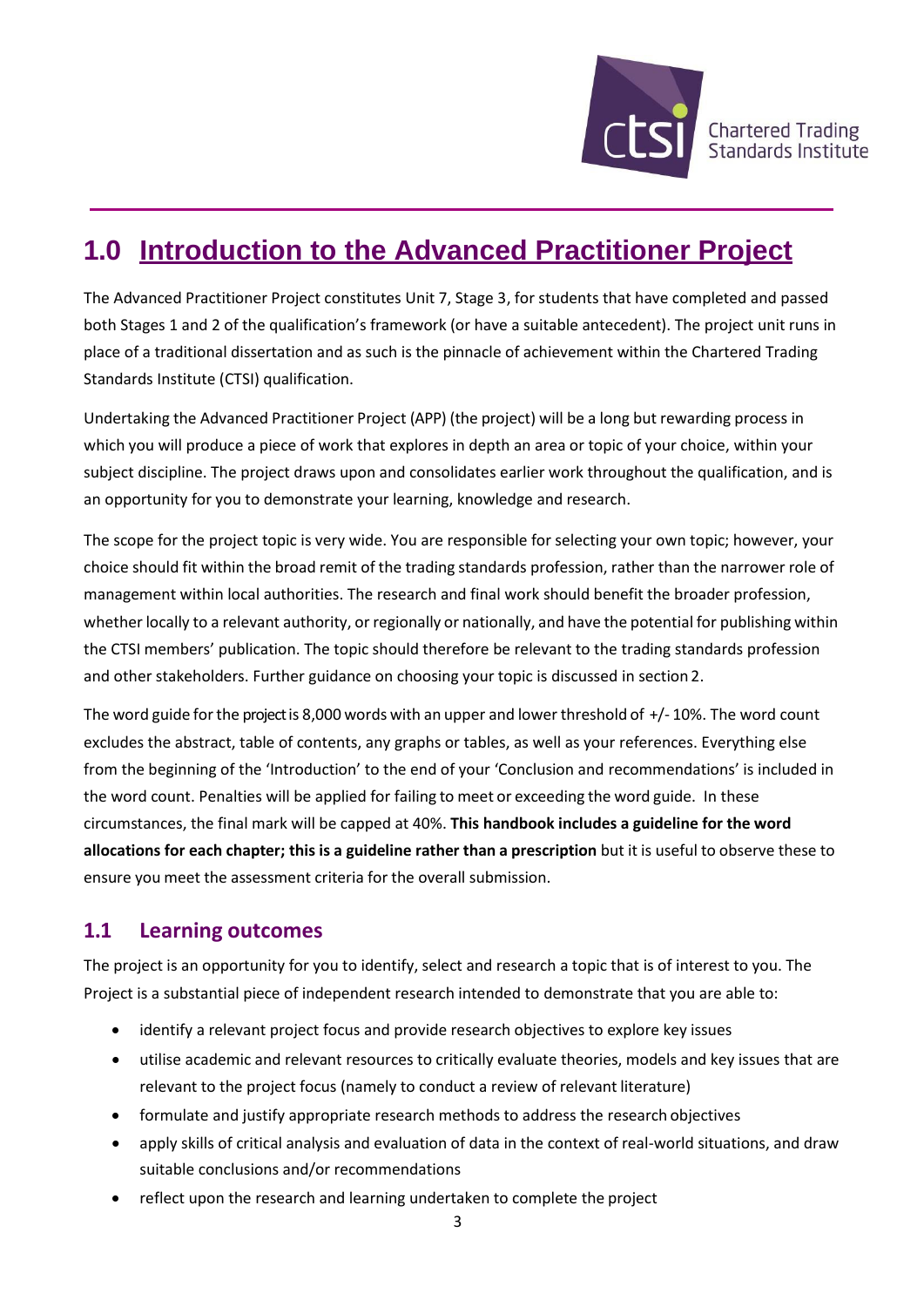

## **1.0 Introduction to the Advanced Practitioner Project**

The Advanced Practitioner Project constitutes Unit 7, Stage 3, for students that have completed and passed both Stages 1 and 2 of the qualification's framework (or have a suitable antecedent). The project unit runs in place of a traditional dissertation and as such is the pinnacle of achievement within the Chartered Trading Standards Institute (CTSI) qualification.

Undertaking the Advanced Practitioner Project (APP) (the project) will be a long but rewarding process in which you will produce a piece of work that explores in depth an area or topic of your choice, within your subject discipline. The project draws upon and consolidates earlier work throughout the qualification, and is an opportunity for you to demonstrate your learning, knowledge and research.

The scope for the project topic is very wide. You are responsible for selecting your own topic; however, your choice should fit within the broad remit of the trading standards profession, rather than the narrower role of management within local authorities. The research and final work should benefit the broader profession, whether locally to a relevant authority, or regionally or nationally, and have the potential for publishing within the CTSI members' publication. The topic should therefore be relevant to the trading standards profession and other stakeholders. Further guidance on choosing your topic is discussed in section 2.

The word guide for the project is 8,000 words with an upper and lower threshold of  $+/-10$ %. The word count excludes the abstract, table of contents, any graphs or tables, as well as your references. Everything else from the beginning of the 'Introduction' to the end of your 'Conclusion and recommendations' is included in the word count. Penalties will be applied for failing to meet or exceeding the word guide. In these circumstances, the final mark will be capped at 40%. **This handbook includes a guideline for the word allocations for each chapter; this is a guideline rather than a prescription** but it is useful to observe these to ensure you meet the assessment criteria for the overall submission.

### **1.1 Learning outcomes**

The project is an opportunity for you to identify, select and research a topic that is of interest to you. The Project is a substantial piece of independent research intended to demonstrate that you are able to:

- identify a relevant project focus and provide research objectives to explore key issues
- utilise academic and relevant resources to critically evaluate theories, models and key issues that are relevant to the project focus (namely to conduct a review of relevant literature)
- formulate and justify appropriate research methods to address the research objectives
- apply skills of critical analysis and evaluation of data in the context of real-world situations, and draw suitable conclusions and/or recommendations
- reflect upon the research and learning undertaken to complete the project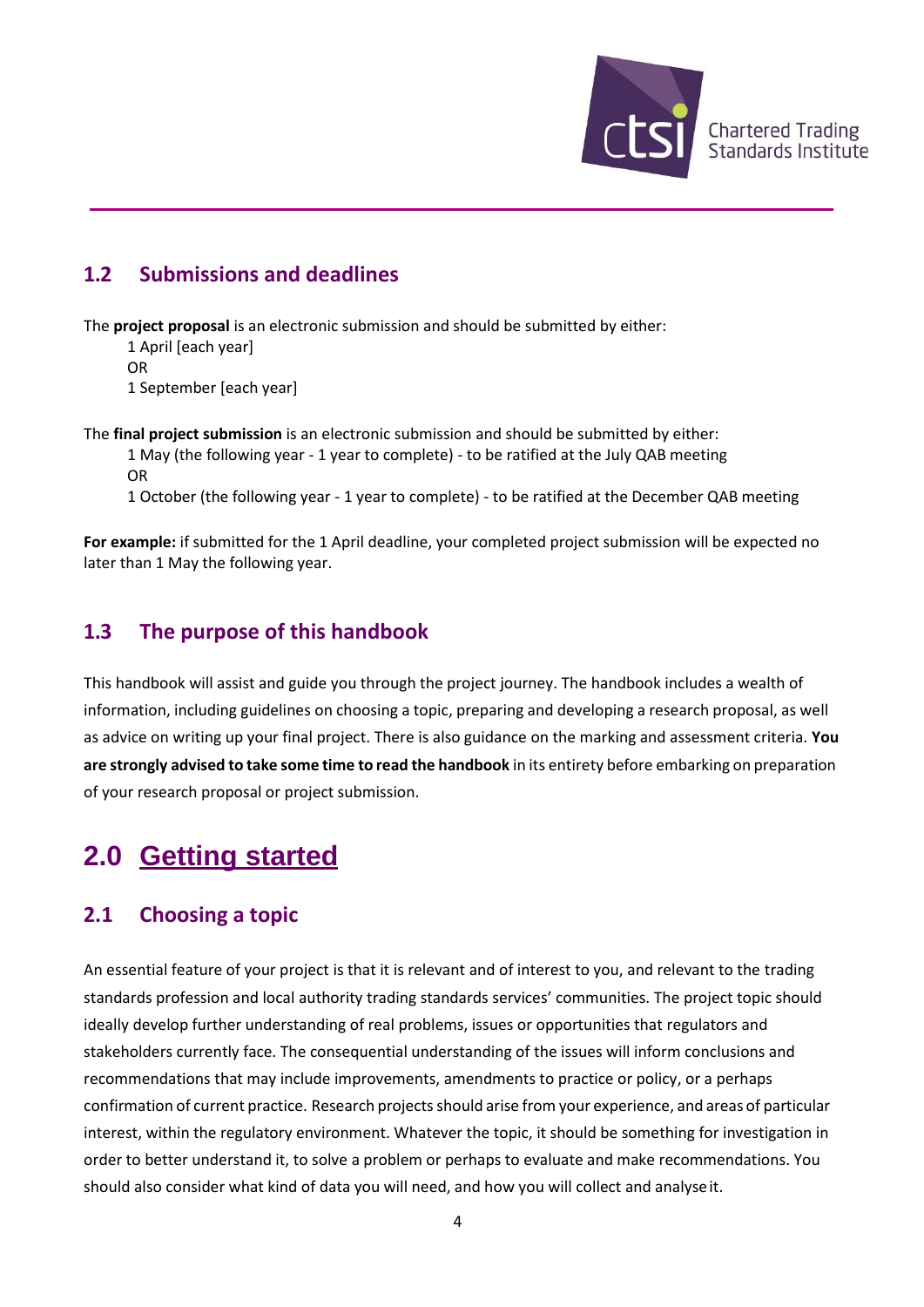

### **1.2 Submissions and deadlines**

The **project proposal** is an electronic submission and should be submitted by either:

1 April [each year] OR 1 September [each year]

The **final project submission** is an electronic submission and should be submitted by either: 1 May (the following year - 1 year to complete) - to be ratified at the July QAB meeting OR 1 October (the following year - 1 year to complete) - to be ratified at the December QAB meeting

**For example:** if submitted for the 1 April deadline, your completed project submission will be expected no later than 1 May the following year.

### **1.3 The purpose of this handbook**

This handbook will assist and guide you through the project journey. The handbook includes a wealth of information, including guidelines on choosing a topic, preparing and developing a research proposal, as well as advice on writing up your final project. There is also guidance on the marking and assessment criteria. **You are strongly advised to take some time to read the handbook** in its entirety before embarking on preparation of your research proposal or project submission.

## **2.0 Getting started**

### **2.1 Choosing a topic**

An essential feature of your project is that it is relevant and of interest to you, and relevant to the trading standards profession and local authority trading standards services' communities. The project topic should ideally develop further understanding of real problems, issues or opportunities that regulators and stakeholders currently face. The consequential understanding of the issues will inform conclusions and recommendations that may include improvements, amendments to practice or policy, or a perhaps confirmation of current practice. Research projectsshould arise from your experience, and areas of particular interest, within the regulatory environment. Whatever the topic, it should be something for investigation in order to better understand it, to solve a problem or perhaps to evaluate and make recommendations. You should also consider what kind of data you will need, and how you will collect and analyseit.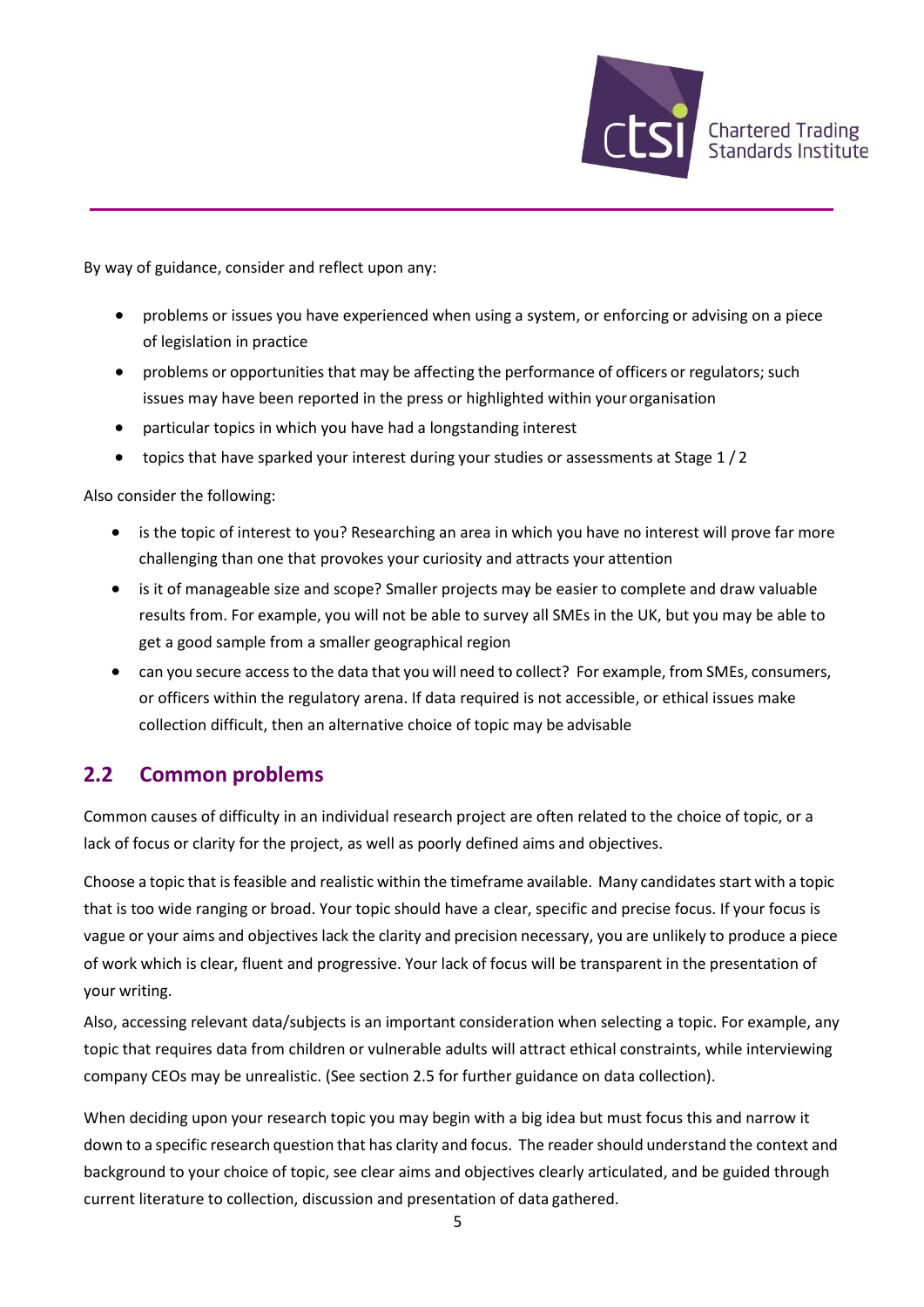

By way of guidance, consider and reflect upon any:

- problems or issues you have experienced when using a system, or enforcing or advising on a piece of legislation in practice
- problems or opportunities that may be affecting the performance of officers or regulators; such issues may have been reported in the press or highlighted within your organisation
- particular topics in which you have had a longstanding interest
- topics that have sparked your interest during your studies or assessments at Stage 1/2

Also consider the following:

- is the topic of interest to you? Researching an area in which you have no interest will prove far more challenging than one that provokes your curiosity and attracts your attention
- is it of manageable size and scope? Smaller projects may be easier to complete and draw valuable results from. For example, you will not be able to survey all SMEs in the UK, but you may be able to get a good sample from a smaller geographical region
- can you secure accessto the data that you will need to collect? For example, from SMEs, consumers, or officers within the regulatory arena. If data required is not accessible, or ethical issues make collection difficult, then an alternative choice of topic may be advisable

#### **2.2 Common problems**

Common causes of difficulty in an individual research project are often related to the choice of topic, or a lack of focus or clarity for the project, as well as poorly defined aims and objectives.

Choose a topic that isfeasible and realistic within the timeframe available. Many candidates start with a topic that is too wide ranging or broad. Your topic should have a clear, specific and precise focus. If your focus is vague or your aims and objectives lack the clarity and precision necessary, you are unlikely to produce a piece of work which is clear, fluent and progressive. Your lack of focus will be transparent in the presentation of your writing.

Also, accessing relevant data/subjects is an important consideration when selecting a topic. For example, any topic that requires data from children or vulnerable adults will attract ethical constraints, while interviewing company CEOs may be unrealistic. (See section 2.5 for further guidance on data collection).

When deciding upon your research topic you may begin with a big idea but must focus this and narrow it down to a specific research question that has clarity and focus. The reader should understand the context and background to your choice of topic, see clear aims and objectives clearly articulated, and be guided through current literature to collection, discussion and presentation of data gathered.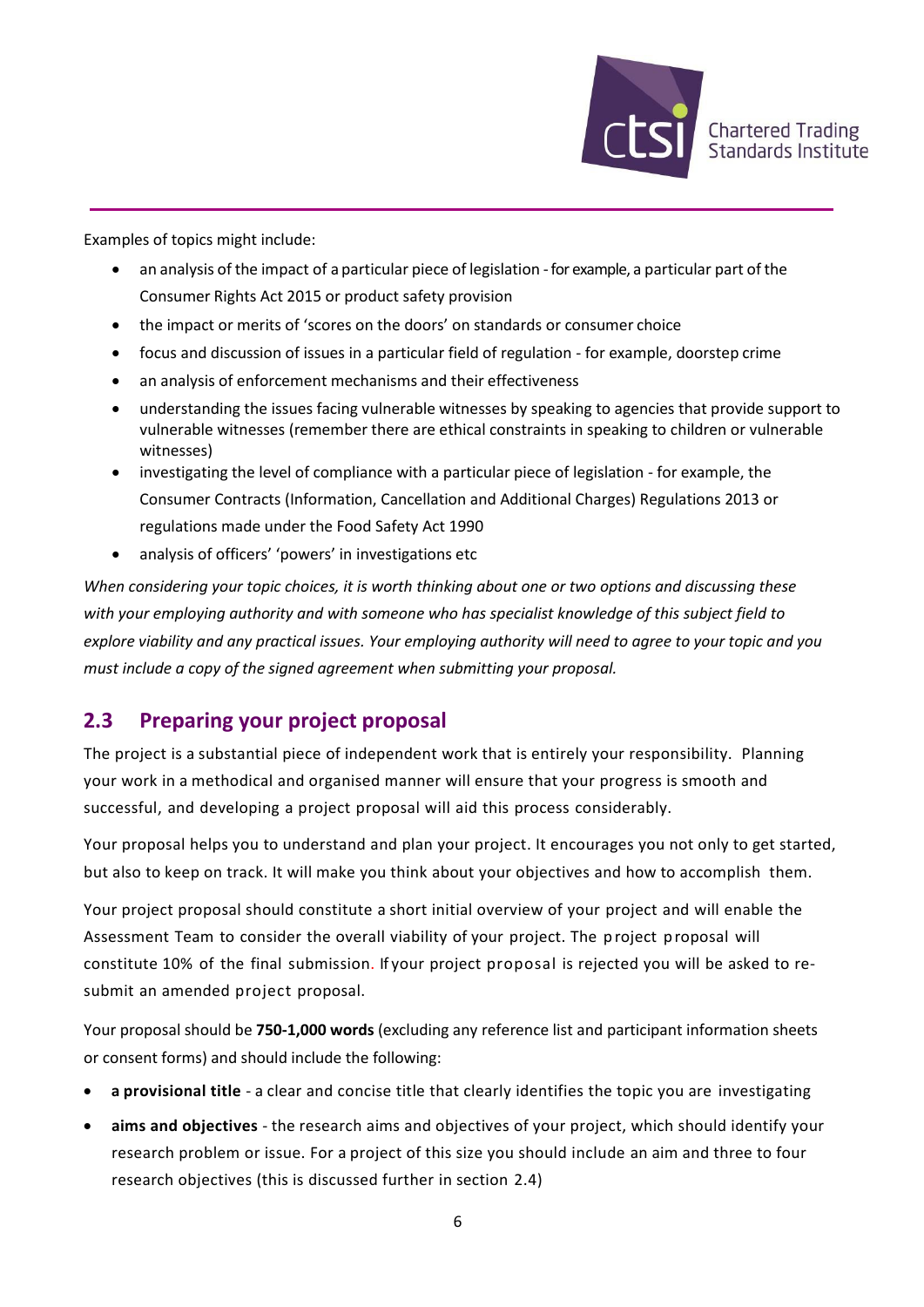

Examples of topics might include:

- an analysis of the impact of a particular piece of legislation for example, a particular part of the Consumer Rights Act 2015 or product safety provision
- the impact or merits of 'scores on the doors' on standards or consumer choice
- focus and discussion of issues in a particular field of regulation for example, doorstep crime
- an analysis of enforcement mechanisms and their effectiveness
- understanding the issues facing vulnerable witnesses by speaking to agencies that provide support to vulnerable witnesses (remember there are ethical constraints in speaking to children or vulnerable witnesses)
- investigating the level of compliance with a particular piece of legislation for example, the Consumer Contracts (Information, Cancellation and Additional Charges) Regulations 2013 or regulations made under the Food Safety Act 1990
- analysis of officers' 'powers' in investigations etc

*When considering your topic choices, it is worth thinking about one or two options and discussing these with your employing authority and with someone who has specialist knowledge of this subject field to explore viability and any practical issues. Your employing authority will need to agree to your topic and you must include a copy of the signed agreement when submitting your proposal.* 

### **2.3 Preparing your project proposal**

The project is a substantial piece of independent work that is entirely your responsibility. Planning your work in a methodical and organised manner will ensure that your progress is smooth and successful, and developing a project proposal will aid this process considerably.

Your proposal helps you to understand and plan your project. It encourages you not only to get started, but also to keep on track. It will make you think about your objectives and how to accomplish them.

Your project proposal should constitute a short initial overview of your project and will enable the Assessment Team to consider the overall viability of your project. The project proposal will constitute 10% of the final submission. If your project proposal is rejected you will be asked to resubmit an amended project proposal.

Your proposal should be **750-1,000 words** (excluding any reference list and participant information sheets or consent forms) and should include the following:

- **a provisional title**  a clear and concise title that clearly identifies the topic you are investigating
- **aims and objectives**  the research aims and objectives of your project, which should identify your research problem or issue. For a project of this size you should include an aim and three to four research objectives (this is discussed further in section 2.4)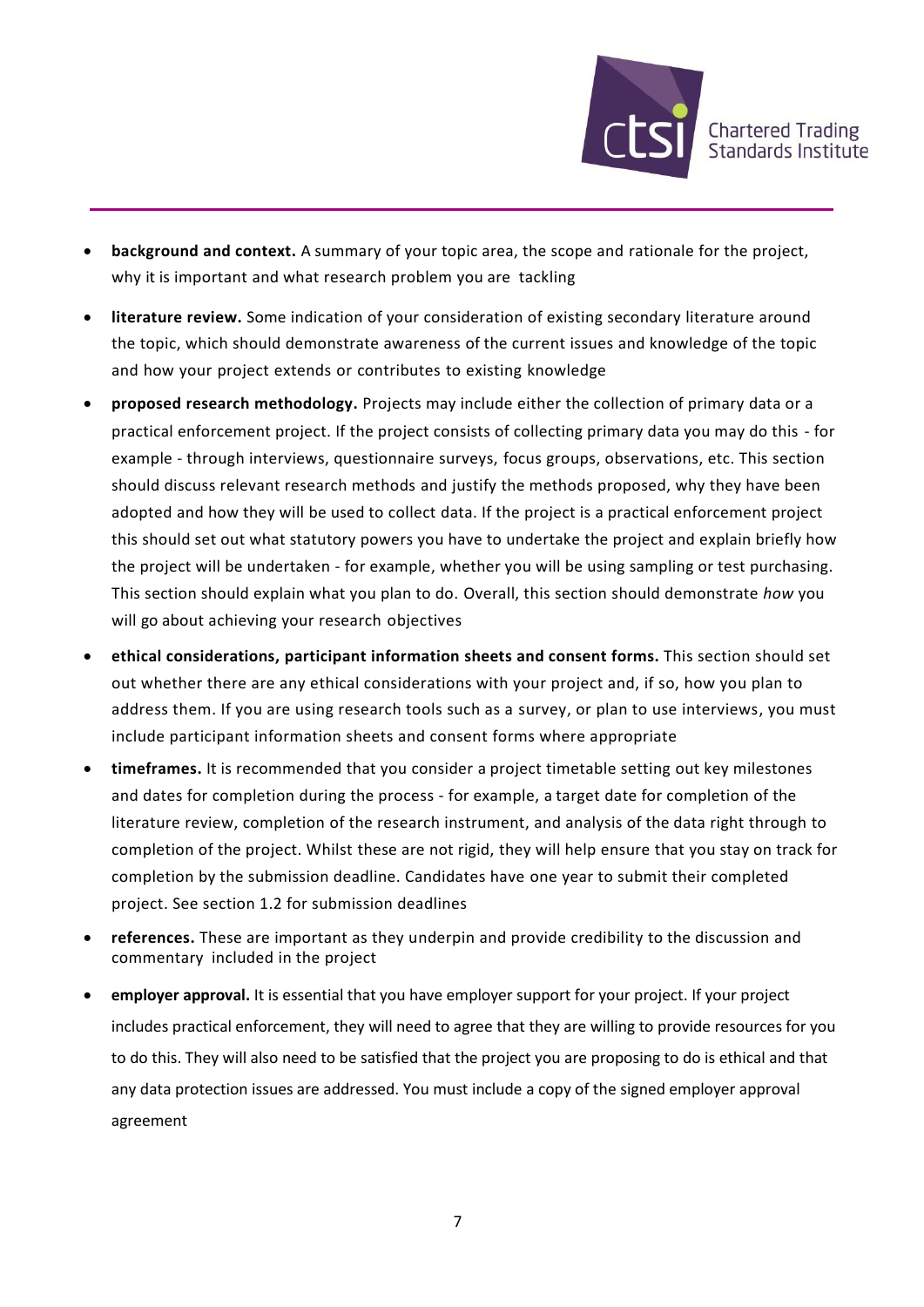

- **background and context.** A summary of your topic area, the scope and rationale for the project, why it is important and what research problem you are tackling
- **literature review.** Some indication of your consideration of existing secondary literature around the topic, which should demonstrate awareness of the current issues and knowledge of the topic and how your project extends or contributes to existing knowledge
- **proposed research methodology.** Projects may include either the collection of primary data or a practical enforcement project. If the project consists of collecting primary data you may do this - for example - through interviews, questionnaire surveys, focus groups, observations, etc. This section should discuss relevant research methods and justify the methods proposed, why they have been adopted and how they will be used to collect data. If the project is a practical enforcement project this should set out what statutory powers you have to undertake the project and explain briefly how the project will be undertaken - for example, whether you will be using sampling or test purchasing. This section should explain what you plan to do. Overall, this section should demonstrate *how* you will go about achieving your research objectives
- **ethical considerations, participant information sheets and consent forms.** This section should set out whether there are any ethical considerations with your project and, if so, how you plan to address them. If you are using research tools such as a survey, or plan to use interviews, you must include participant information sheets and consent forms where appropriate
- **timeframes.** It is recommended that you consider a project timetable setting out key milestones and dates for completion during the process - for example, a target date for completion of the literature review, completion of the research instrument, and analysis of the data right through to completion of the project. Whilst these are not rigid, they will help ensure that you stay on track for completion by the submission deadline. Candidates have one year to submit their completed project. See section 1.2 for submission deadlines
- **references.** These are important as they underpin and provide credibility to the discussion and commentary included in the project
- **employer approval.** It is essential that you have employer support for your project. If your project includes practical enforcement, they will need to agree that they are willing to provide resources for you to do this. They will also need to be satisfied that the project you are proposing to do is ethical and that any data protection issues are addressed. You must include a copy of the signed employer approval agreement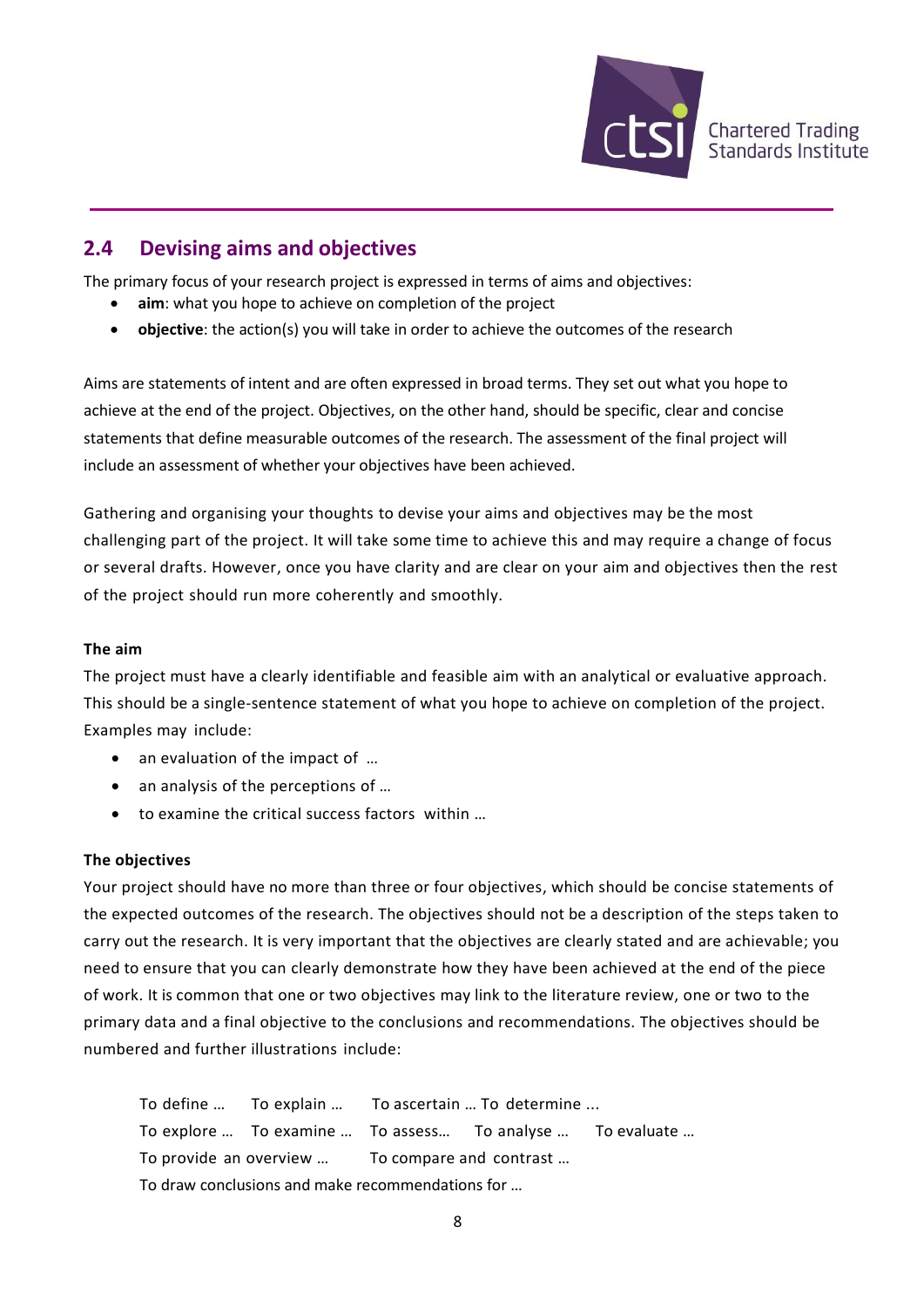

### **2.4 Devising aims and objectives**

The primary focus of your research project is expressed in terms of aims and objectives:

- aim: what you hope to achieve on completion of the project
- **objective**: the action(s) you will take in order to achieve the outcomes of the research

Aims are statements of intent and are often expressed in broad terms. They set out what you hope to achieve at the end of the project. Objectives, on the other hand, should be specific, clear and concise statements that define measurable outcomes of the research. The assessment of the final project will include an assessment of whether your objectives have been achieved.

Gathering and organising your thoughts to devise your aims and objectives may be the most challenging part of the project. It will take some time to achieve this and may require a change of focus or several drafts. However, once you have clarity and are clear on your aim and objectives then the rest of the project should run more coherently and smoothly.

#### **The aim**

The project must have a clearly identifiable and feasible aim with an analytical or evaluative approach. This should be a single-sentence statement of what you hope to achieve on completion of the project. Examples may include:

- an evaluation of the impact of ...
- an analysis of the perceptions of …
- to examine the critical success factors within …

#### **The objectives**

Your project should have no more than three or four objectives, which should be concise statements of the expected outcomes of the research. The objectives should not be a description of the steps taken to carry out the research. It is very important that the objectives are clearly stated and are achievable; you need to ensure that you can clearly demonstrate how they have been achieved at the end of the piece of work. It is common that one or two objectives may link to the literature review, one or two to the primary data and a final objective to the conclusions and recommendations. The objectives should be numbered and further illustrations include:

To define … To explain … To ascertain … To determine ... To explore … To examine … To assess… To analyse … To evaluate … To provide an overview … To compare and contrast … To draw conclusions and make recommendations for …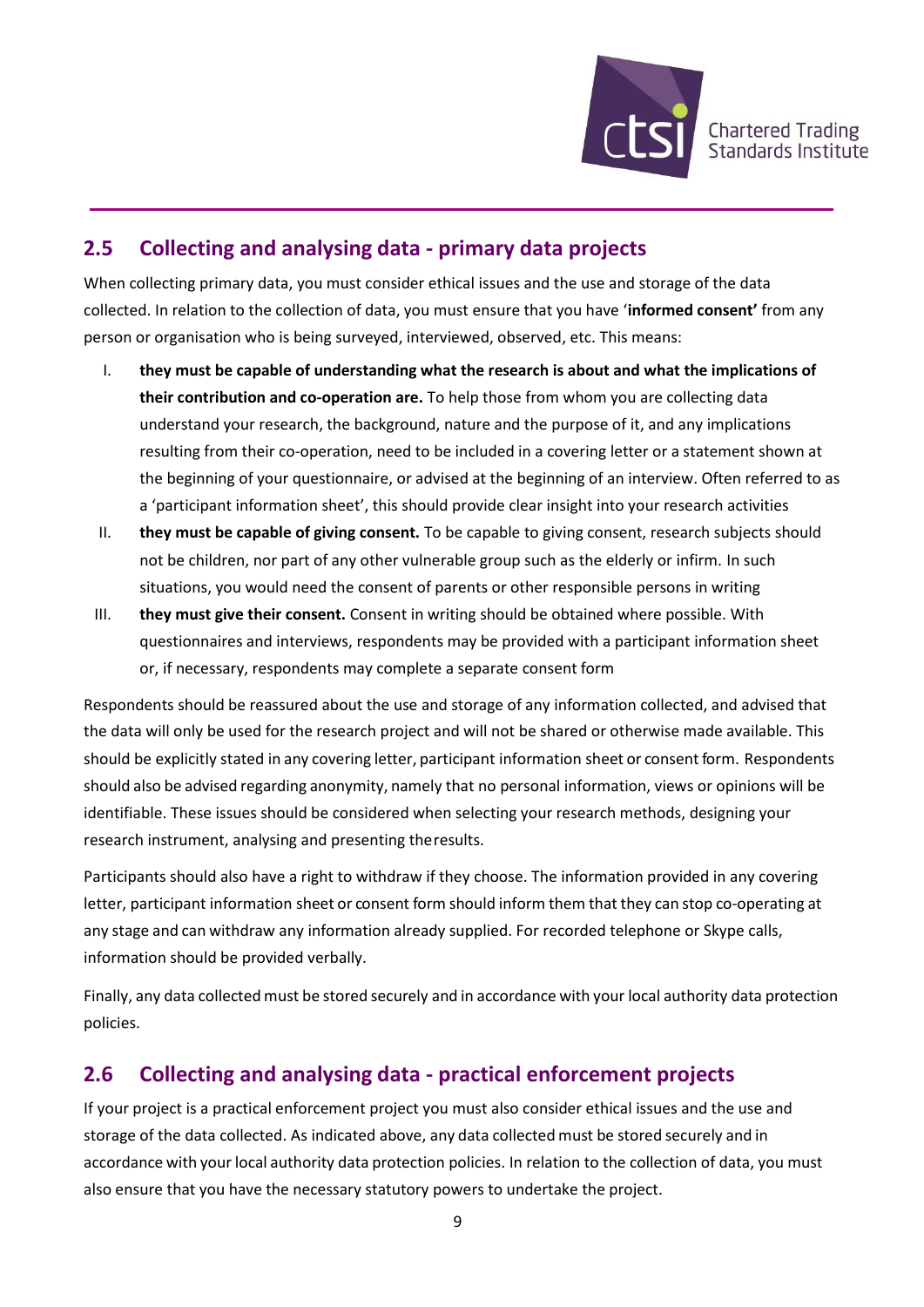

### **2.5 Collecting and analysing data - primary data projects**

When collecting primary data, you must consider ethical issues and the use and storage of the data collected. In relation to the collection of data, you must ensure that you have '**informed consent'** from any person or organisation who is being surveyed, interviewed, observed, etc. This means:

- I. **they must be capable of understanding what the research is about and what the implications of their contribution and co-operation are.** To help those from whom you are collecting data understand your research, the background, nature and the purpose of it, and any implications resulting from their co-operation, need to be included in a covering letter or a statement shown at the beginning of your questionnaire, or advised at the beginning of an interview. Often referred to as a 'participant information sheet', this should provide clear insight into your research activities
- II. **they must be capable of giving consent.** To be capable to giving consent, research subjects should not be children, nor part of any other vulnerable group such as the elderly or infirm. In such situations, you would need the consent of parents or other responsible persons in writing
- III. **they must give their consent.** Consent in writing should be obtained where possible. With questionnaires and interviews, respondents may be provided with a participant information sheet or, if necessary, respondents may complete a separate consent form

Respondents should be reassured about the use and storage of any information collected, and advised that the data will only be used for the research project and will not be shared or otherwise made available. This should be explicitly stated in any covering letter, participant information sheet or consent form. Respondents should also be advised regarding anonymity, namely that no personal information, views or opinions will be identifiable. These issues should be considered when selecting your research methods, designing your research instrument, analysing and presenting theresults.

Participants should also have a right to withdraw if they choose. The information provided in any covering letter, participant information sheet or consent form should inform them that they can stop co-operating at any stage and can withdraw any information already supplied. For recorded telephone or Skype calls, information should be provided verbally.

Finally, any data collected must be stored securely and in accordance with your local authority data protection policies.

### **2.6 Collecting and analysing data - practical enforcement projects**

If your project is a practical enforcement project you must also consider ethical issues and the use and storage of the data collected. As indicated above, any data collected must be stored securely and in accordance with your local authority data protection policies. In relation to the collection of data, you must also ensure that you have the necessary statutory powers to undertake the project.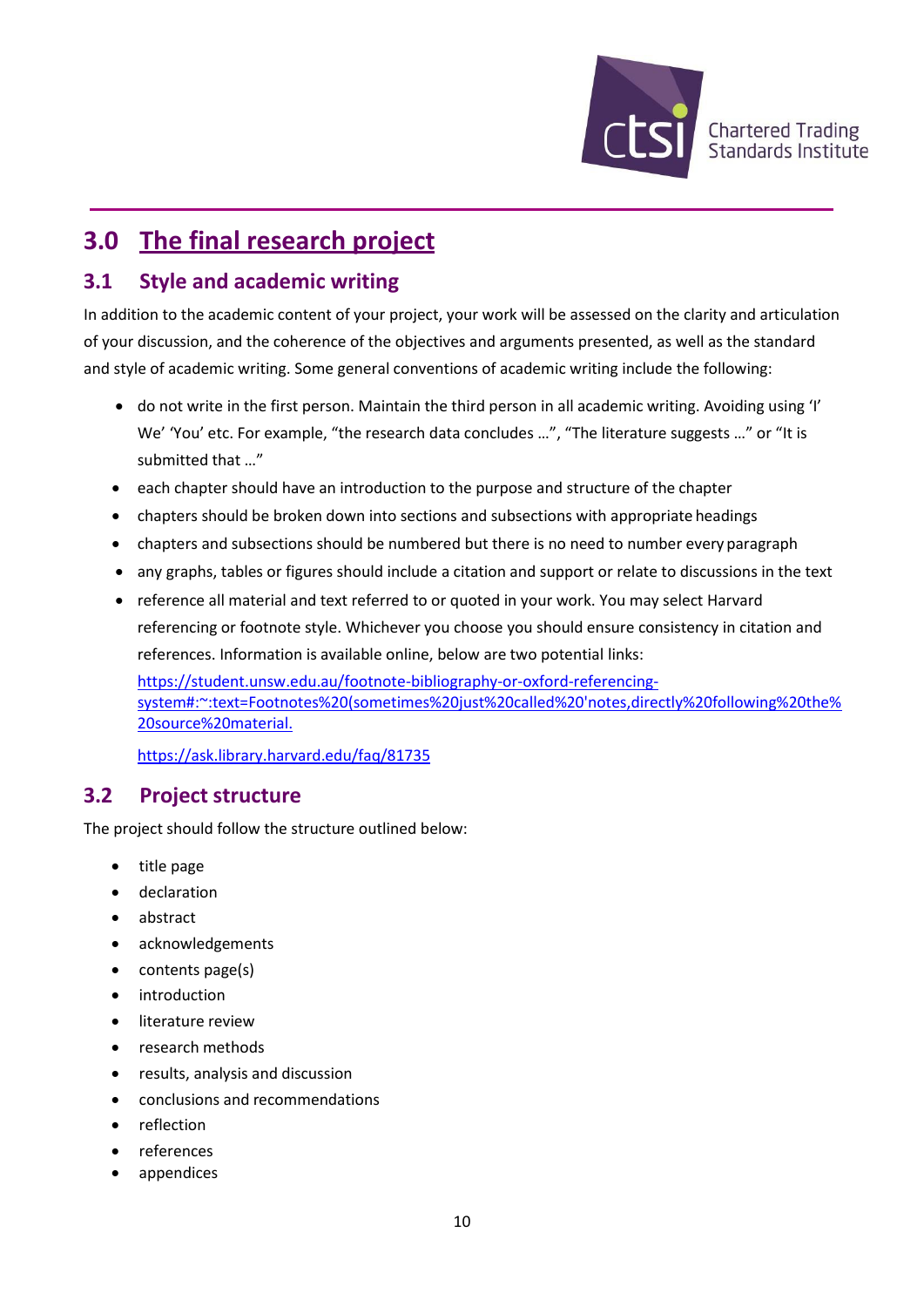

## **3.0 The final research project**

### **3.1 Style and academic writing**

In addition to the academic content of your project, your work will be assessed on the clarity and articulation of your discussion, and the coherence of the objectives and arguments presented, as well as the standard and style of academic writing. Some general conventions of academic writing include the following:

- do not write in the first person. Maintain the third person in all academic writing. Avoiding using 'I' We' 'You' etc. For example, "the research data concludes ...", "The literature suggests ..." or "It is submitted that …"
- each chapter should have an introduction to the purpose and structure of the chapter
- chapters should be broken down into sections and subsections with appropriate headings
- chapters and subsections should be numbered but there is no need to number every paragraph
- any graphs, tables or figures should include a citation and support or relate to discussions in the text
- reference all material and text referred to or quoted in your work. You may select Harvard referencing or footnote style. Whichever you choose you should ensure consistency in citation and references. Information is available online, below are two potential links:

[https://student.unsw.edu.au/footnote-bibliography-or-oxford-referencing](https://student.unsw.edu.au/footnote-bibliography-or-oxford-referencing-system#:~:text=Footnotes%20(sometimes%20just%20called%20)[system#:~:text=Footnotes%20\(sometimes%20just%20called%20'notes,directly%20following%20the%](https://student.unsw.edu.au/footnote-bibliography-or-oxford-referencing-system#:~:text=Footnotes%20(sometimes%20just%20called%20) [20source%20material.](https://student.unsw.edu.au/footnote-bibliography-or-oxford-referencing-system#:~:text=Footnotes%20(sometimes%20just%20called%20)

<https://ask.library.harvard.edu/faq/81735>

### **3.2 Project structure**

The project should follow the structure outlined below:

- title page
- declaration
- abstract
- acknowledgements
- contents page(s)
- introduction
- literature review
- research methods
- results, analysis and discussion
- conclusions and recommendations
- reflection
- **references**
- appendices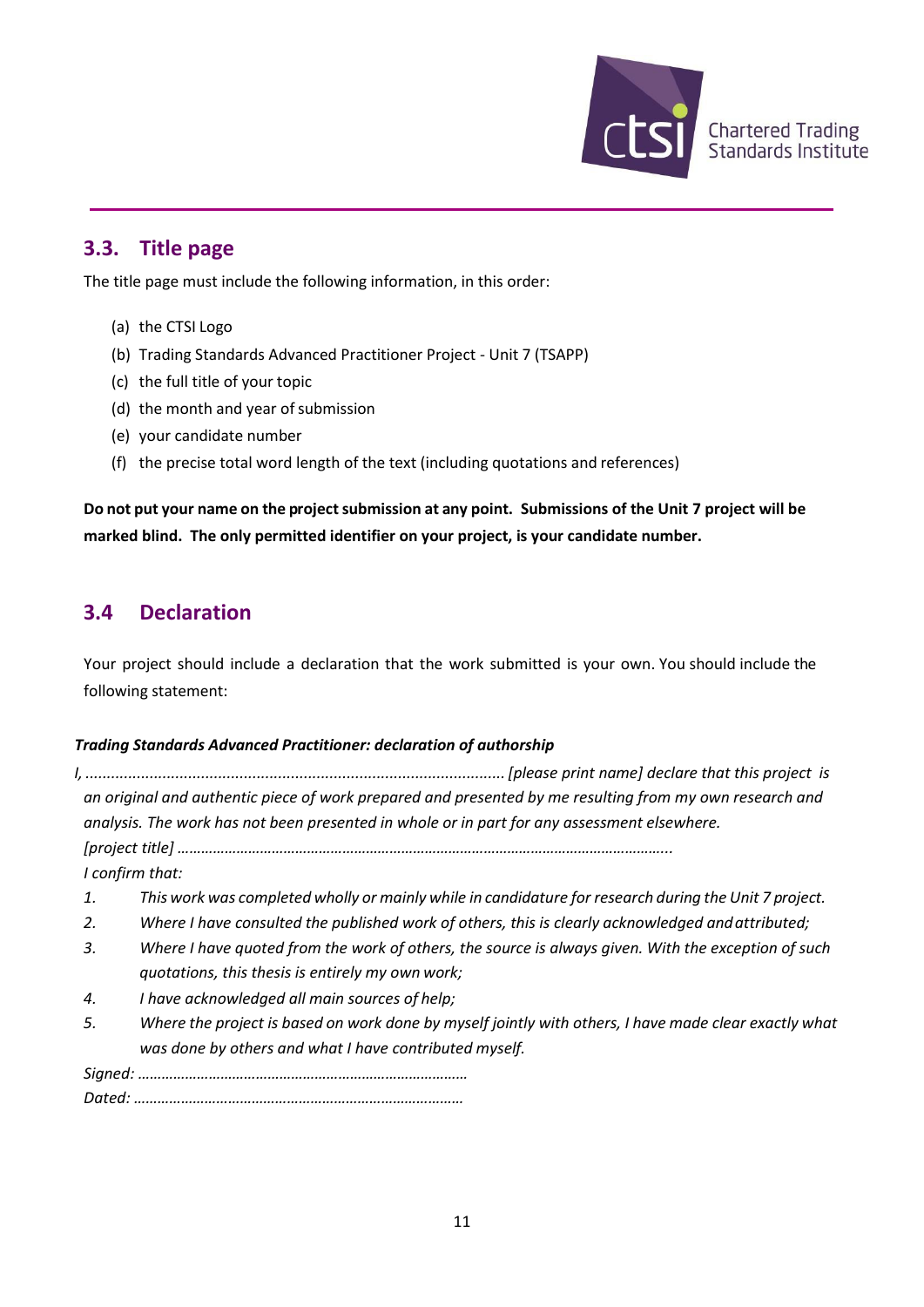

### **3.3. Title page**

The title page must include the following information, in this order:

- (a) the CTSI Logo
- (b) Trading Standards Advanced Practitioner Project Unit 7 (TSAPP)
- (c) the full title of your topic
- (d) the month and year of submission
- (e) your candidate number
- (f) the precise total word length of the text (including quotations and references)

**Do** not put your name on the project submission at any point. Submissions of the Unit 7 project will be **marked blind. The only permitted identifier on your project, is your candidate number.**

### **3.4 Declaration**

Your project should include a declaration that the work submitted is your own. You should include the following statement:

#### *Trading Standards Advanced Practitioner: declaration of authorship*

|    | an original and authentic piece of work prepared and presented by me resulting from my own research and |
|----|---------------------------------------------------------------------------------------------------------|
|    | analysis. The work has not been presented in whole or in part for any assessment elsewhere.             |
|    |                                                                                                         |
|    | I confirm that:                                                                                         |
| 1. | This work was completed wholly or mainly while in candidature for research during the Unit 7 project.   |
| 2. | Where I have consulted the published work of others, this is clearly acknowledged and attributed;       |
| 3. | Where I have quoted from the work of others, the source is always given. With the exception of such     |
|    | quotations, this thesis is entirely my own work;                                                        |
| 4. | I have acknowledged all main sources of help;                                                           |
| 5. | Where the project is based on work done by myself jointly with others, I have made clear exactly what   |
|    | was done by others and what I have contributed myself.                                                  |
|    |                                                                                                         |
|    |                                                                                                         |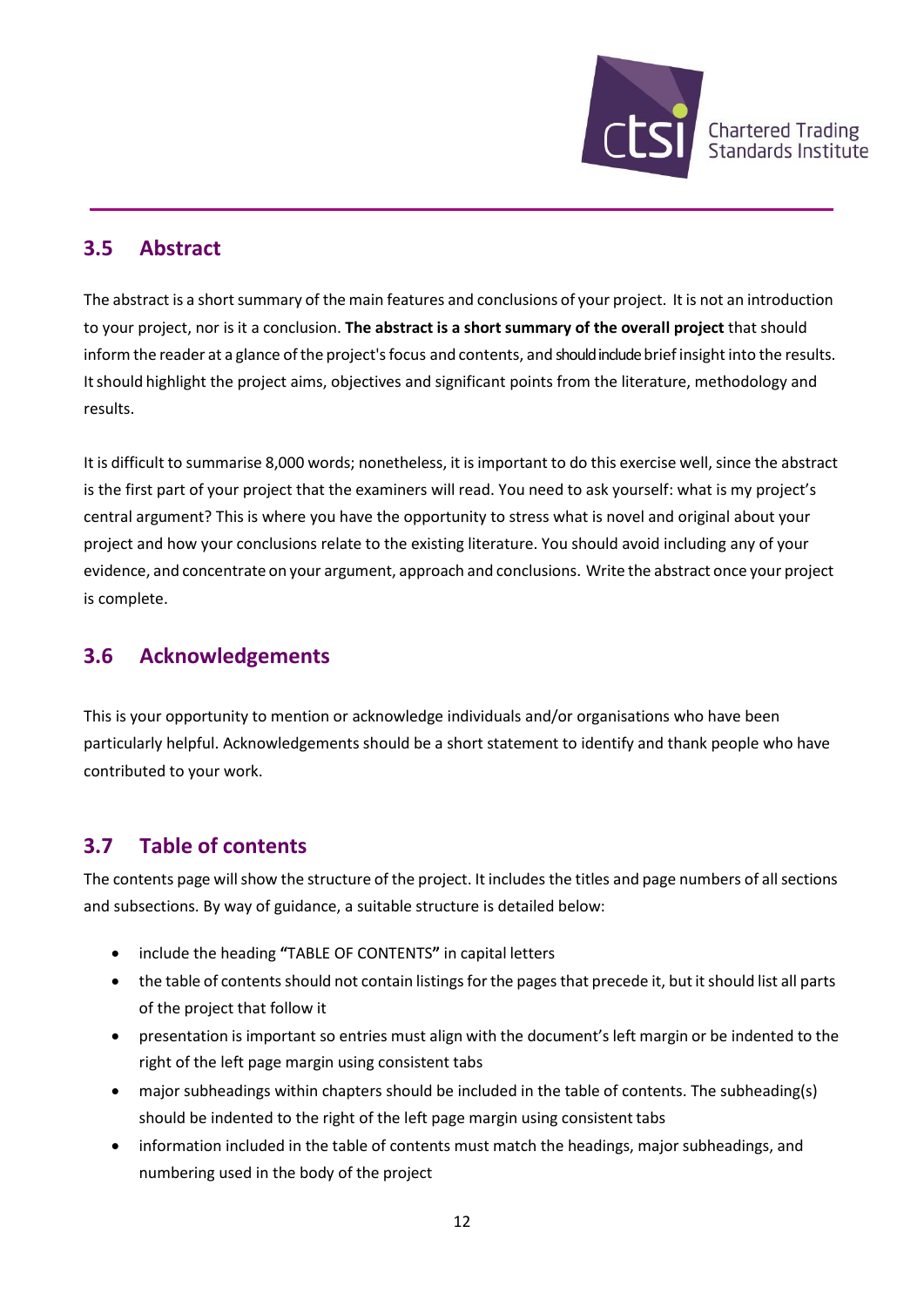

### **3.5 Abstract**

The abstract is a short summary of the main features and conclusions of your project. It is not an introduction to your project, nor is it a conclusion. **The abstract is a short summary of the overall project** that should inform the reader at a glance of the project's focus and contents, and should include brief insight into the results. Itshould highlight the project aims, objectives and significant points from the literature, methodology and results.

It is difficult to summarise 8,000 words; nonetheless, it is important to do this exercise well, since the abstract is the first part of your project that the examiners will read. You need to ask yourself: what is my project's central argument? This is where you have the opportunity to stress what is novel and original about your project and how your conclusions relate to the existing literature. You should avoid including any of your evidence, and concentrate on your argument, approach and conclusions. Write the abstract once your project is complete.

### **3.6 Acknowledgements**

This is your opportunity to mention or acknowledge individuals and/or organisations who have been particularly helpful. Acknowledgements should be a short statement to identify and thank people who have contributed to your work.

### **3.7 Table of contents**

The contents page will show the structure of the project. It includes the titles and page numbers of all sections and subsections. By way of guidance, a suitable structure is detailed below:

- include the heading **"**TABLE OF CONTENTS**"** in capital letters
- the table of contents should not contain listings for the pages that precede it, but it should list all parts of the project that follow it
- presentation is important so entries must align with the document's left margin or be indented to the right of the left page margin using consistent tabs
- major subheadings within chapters should be included in the table of contents. The subheading(s) should be indented to the right of the left page margin using consistent tabs
- information included in the table of contents must match the headings, major subheadings, and numbering used in the body of the project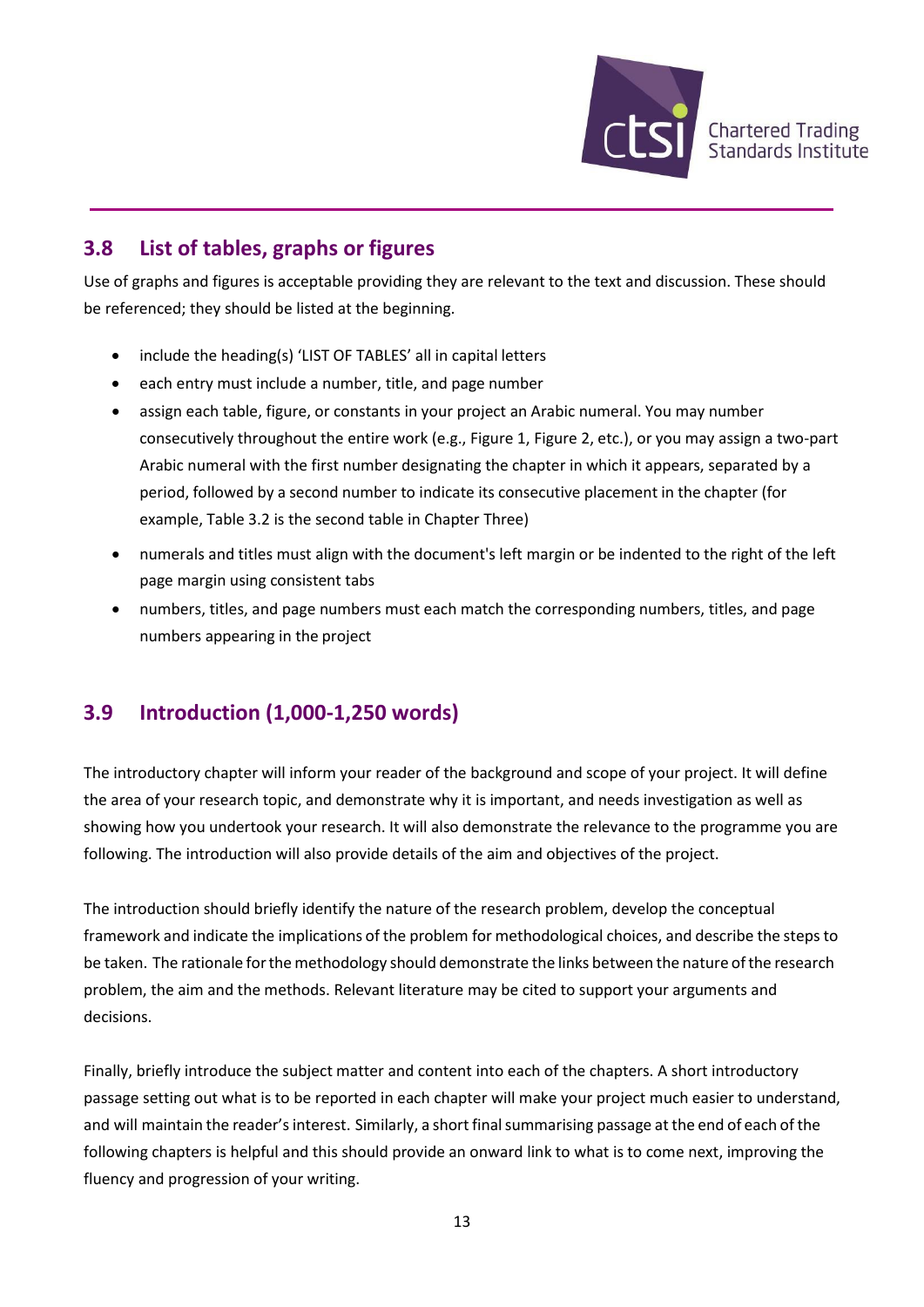

### **3.8 List of tables, graphs or figures**

Use of graphs and figures is acceptable providing they are relevant to the text and discussion. These should be referenced; they should be listed at the beginning.

- include the heading(s) 'LIST OF TABLES' all in capital letters
- each entry must include a number, title, and page number
- assign each table, figure, or constants in your project an Arabic numeral. You may number consecutively throughout the entire work (e.g., Figure 1, Figure 2, etc.), or you may assign a two-part Arabic numeral with the first number designating the chapter in which it appears, separated by a period, followed by a second number to indicate its consecutive placement in the chapter (for example, Table 3.2 is the second table in Chapter Three)
- numerals and titles must align with the document's left margin or be indented to the right of the left page margin using consistent tabs
- numbers, titles, and page numbers must each match the corresponding numbers, titles, and page numbers appearing in the project

### **3.9 Introduction (1,000-1,250 words)**

The introductory chapter will inform your reader of the background and scope of your project. It will define the area of your research topic, and demonstrate why it is important, and needs investigation as well as showing how you undertook your research. It will also demonstrate the relevance to the programme you are following. The introduction will also provide details of the aim and objectives of the project.

The introduction should briefly identify the nature of the research problem, develop the conceptual framework and indicate the implications of the problem for methodological choices, and describe the steps to be taken. The rationale for the methodology should demonstrate the links between the nature of the research problem, the aim and the methods. Relevant literature may be cited to support your arguments and decisions.

Finally, briefly introduce the subject matter and content into each of the chapters. A short introductory passage setting out what is to be reported in each chapter will make your project much easier to understand, and will maintain the reader'sinterest. Similarly, a short finalsummarising passage at the end of each of the following chapters is helpful and this should provide an onward link to what is to come next, improving the fluency and progression of your writing.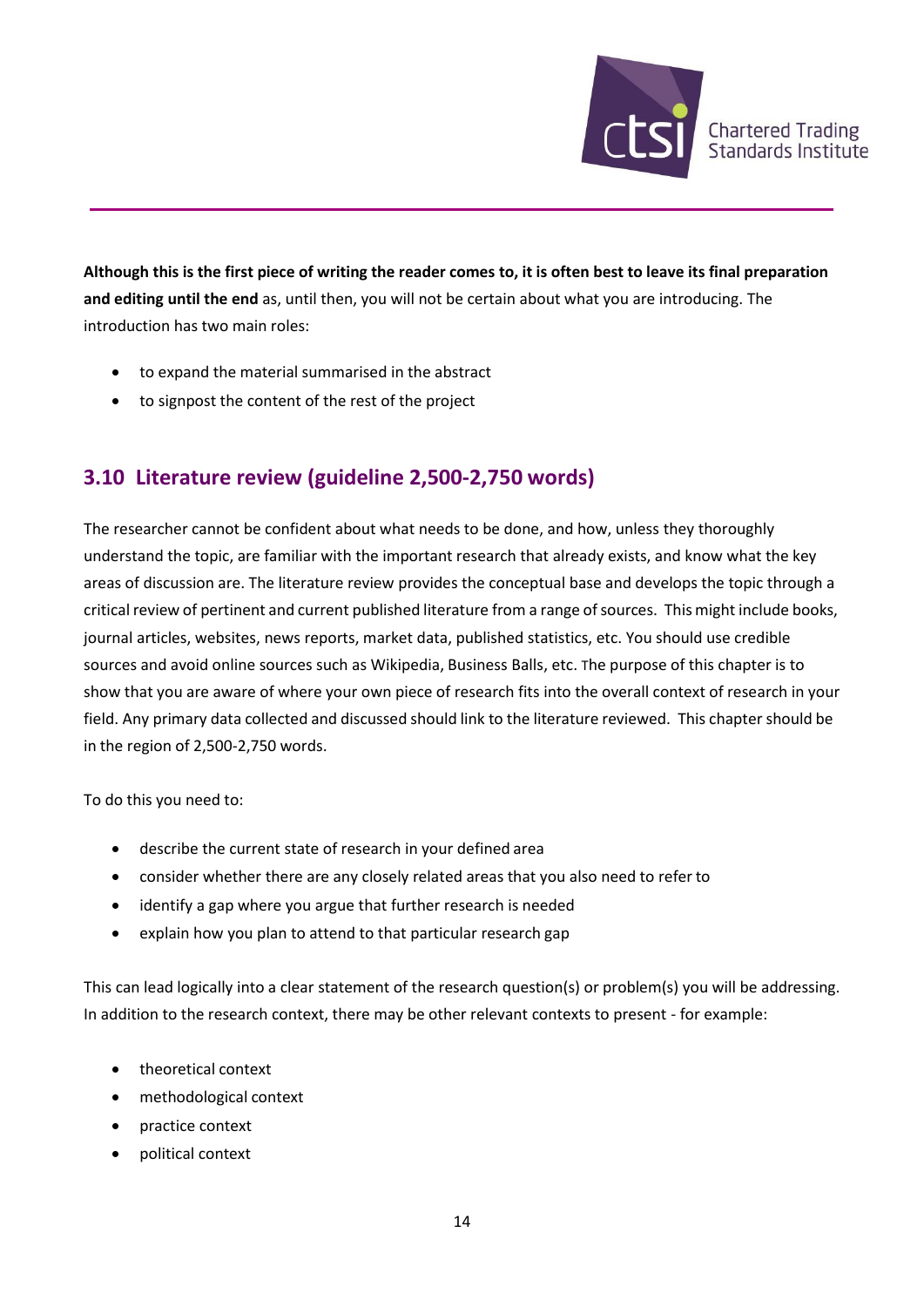

**Although this is the first piece of writing the reader comes to, it is often best to leave its final preparation and editing until the end** as, until then, you will not be certain about what you are introducing. The introduction has two main roles:

- to expand the material summarised in the abstract
- to signpost the content of the rest of the project

### **3.10 Literature review (guideline 2,500-2,750 words)**

The researcher cannot be confident about what needs to be done, and how, unless they thoroughly understand the topic, are familiar with the important research that already exists, and know what the key areas of discussion are. The literature review provides the conceptual base and develops the topic through a critical review of pertinent and current published literature from a range of sources. This might include books, journal articles, websites, news reports, market data, published statistics, etc. You should use credible sources and avoid online sources such as Wikipedia, Business Balls, etc. The purpose of this chapter is to show that you are aware of where your own piece of research fits into the overall context of research in your field. Any primary data collected and discussed should link to the literature reviewed. This chapter should be in the region of 2,500-2,750 words.

To do this you need to:

- describe the current state of research in your defined area
- consider whether there are any closely related areas that you also need to refer to
- identify a gap where you argue that further research is needed
- explain how you plan to attend to that particular research gap

This can lead logically into a clear statement of the research question(s) or problem(s) you will be addressing. In addition to the research context, there may be other relevant contexts to present - for example:

- theoretical context
- methodological context
- practice context
- political context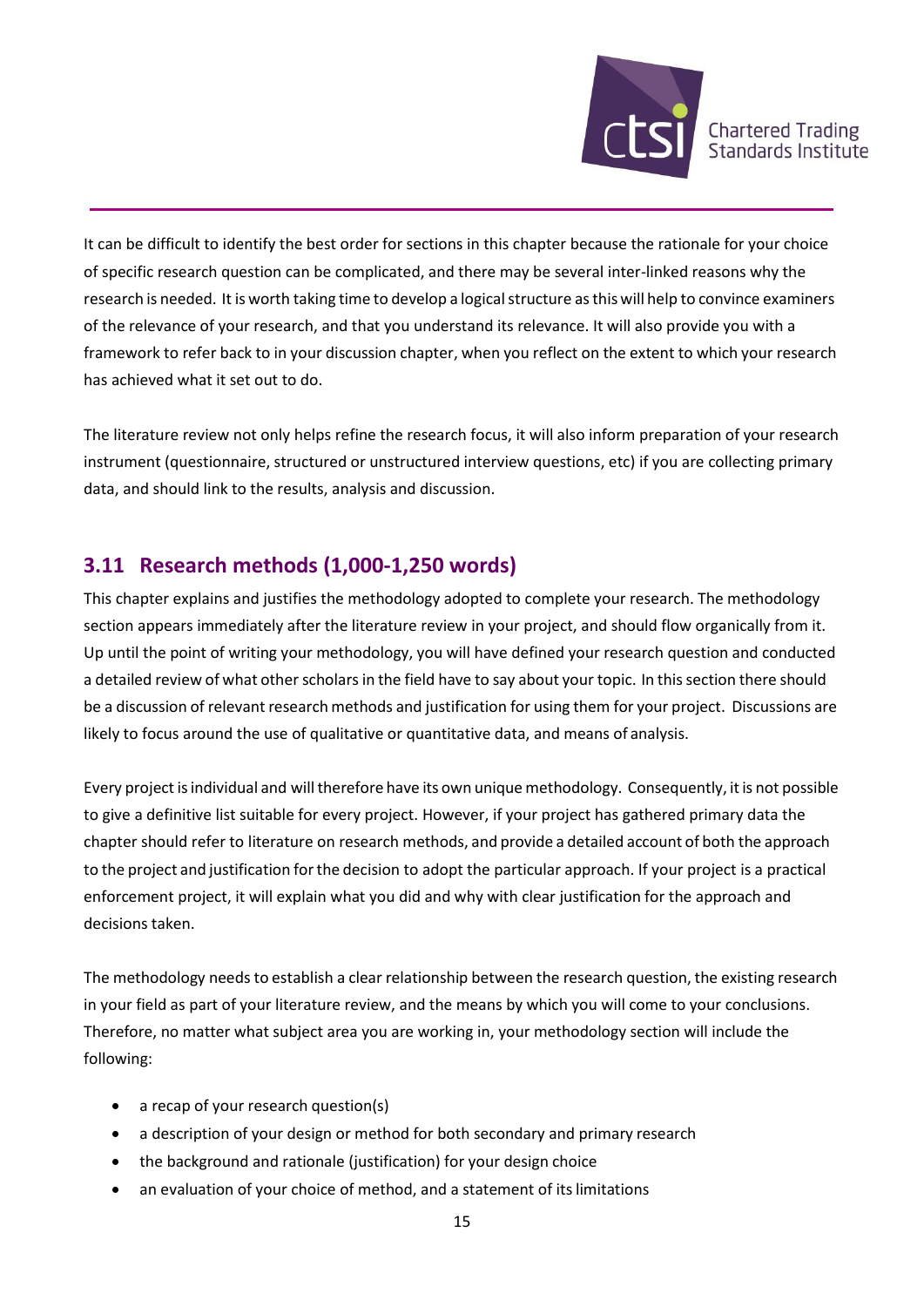

It can be difficult to identify the best order for sections in this chapter because the rationale for your choice of specific research question can be complicated, and there may be several inter-linked reasons why the research is needed. It is worth taking time to develop a logical structure as this will help to convince examiners of the relevance of your research, and that you understand its relevance. It will also provide you with a framework to refer back to in your discussion chapter, when you reflect on the extent to which your research has achieved what it set out to do.

The literature review not only helps refine the research focus, it will also inform preparation of your research instrument (questionnaire, structured or unstructured interview questions, etc) if you are collecting primary data, and should link to the results, analysis and discussion.

#### **3.11 Research methods (1,000-1,250 words)**

This chapter explains and justifies the methodology adopted to complete your research. The methodology section appears immediately after the literature review in your project, and should flow organically from it. Up until the point of writing your methodology, you will have defined your research question and conducted a detailed review of what other scholars in the field have to say about your topic. In this section there should be a discussion of relevant research methods and justification for using them for your project. Discussions are likely to focus around the use of qualitative or quantitative data, and means of analysis.

Every project is individual and will therefore have its own unique methodology. Consequently, it is not possible to give a definitive list suitable for every project. However, if your project has gathered primary data the chapter should refer to literature on research methods, and provide a detailed account of both the approach to the project and justification forthe decision to adopt the particular approach. If your project is a practical enforcement project, it will explain what you did and why with clear justification for the approach and decisions taken.

The methodology needs to establish a clear relationship between the research question, the existing research in your field as part of your literature review, and the means by which you will come to your conclusions. Therefore, no matter what subject area you are working in, your methodology section will include the following:

- a recap of your research question(s)
- a description of your design or method for both secondary and primary research
- the background and rationale (justification) for your design choice
- an evaluation of your choice of method, and a statement of its limitations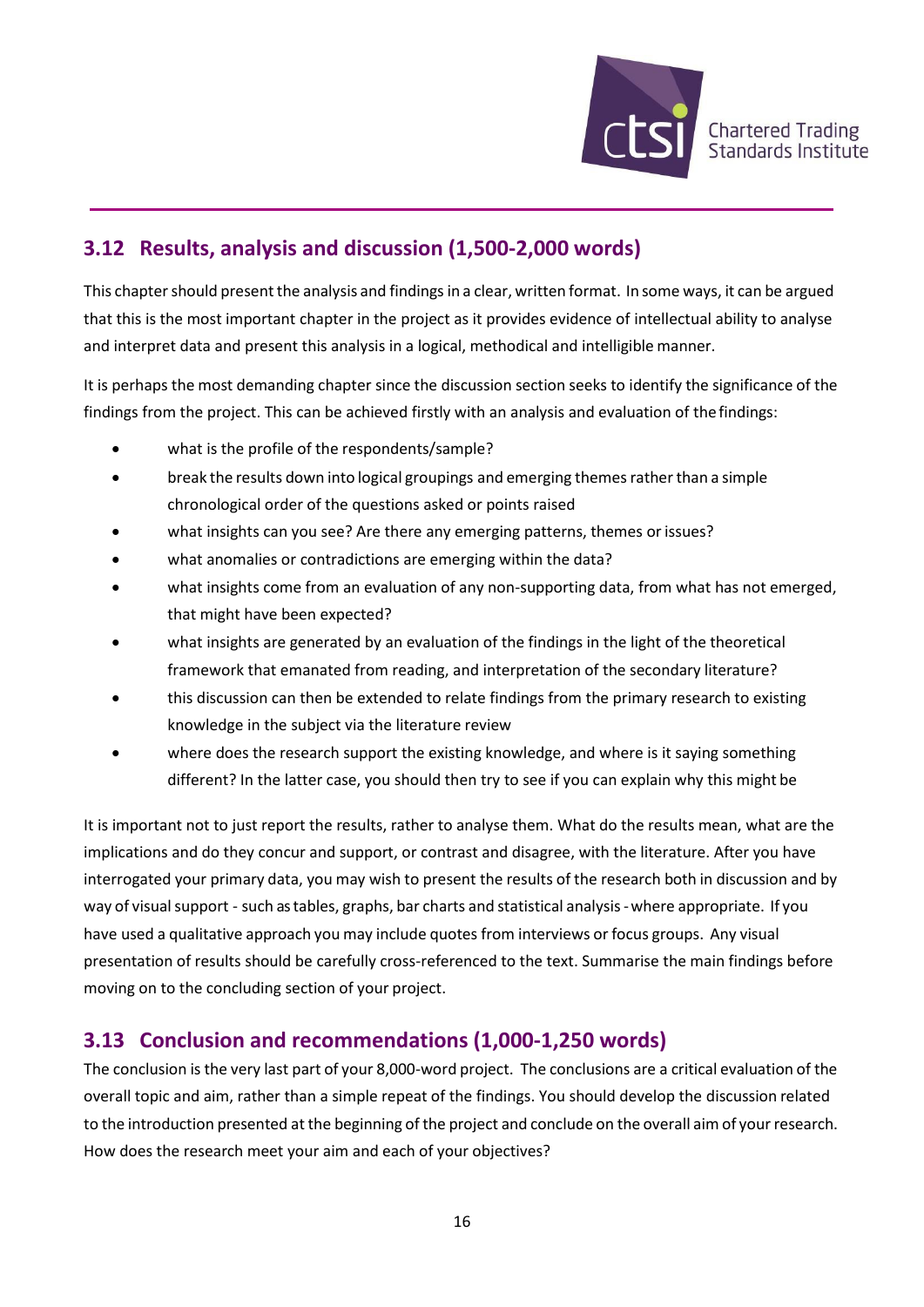

### **3.12 Results, analysis and discussion (1,500-2,000 words)**

This chapter should present the analysis and findings in a clear, written format. In some ways, it can be argued that this is the most important chapter in the project as it provides evidence of intellectual ability to analyse and interpret data and present this analysis in a logical, methodical and intelligible manner.

It is perhaps the most demanding chapter since the discussion section seeks to identify the significance of the findings from the project. This can be achieved firstly with an analysis and evaluation of the findings:

- what is the profile of the respondents/sample?
- break the results down into logical groupings and emerging themes rather than a simple chronological order of the questions asked or points raised
- what insights can you see? Are there any emerging patterns, themes or issues?
- what anomalies or contradictions are emerging within the data?
- what insights come from an evaluation of any non-supporting data, from what has not emerged, that might have been expected?
- what insights are generated by an evaluation of the findings in the light of the theoretical framework that emanated from reading, and interpretation of the secondary literature?
- this discussion can then be extended to relate findings from the primary research to existing knowledge in the subject via the literature review
- where does the research support the existing knowledge, and where is it saying something different? In the latter case, you should then try to see if you can explain why this might be

It is important not to just report the results, rather to analyse them. What do the results mean, what are the implications and do they concur and support, or contrast and disagree, with the literature. After you have interrogated your primary data, you may wish to present the results of the research both in discussion and by way of visual support - such as tables, graphs, bar charts and statistical analysis - where appropriate. If you have used a qualitative approach you may include quotes from interviews or focus groups. Any visual presentation of results should be carefully cross-referenced to the text. Summarise the main findings before moving on to the concluding section of your project.

### **3.13 Conclusion and recommendations (1,000-1,250 words)**

The conclusion is the very last part of your 8,000-word project. The conclusions are a critical evaluation of the overall topic and aim, rather than a simple repeat of the findings. You should develop the discussion related to the introduction presented at the beginning of the project and conclude on the overall aim of your research. How does the research meet your aim and each of your objectives?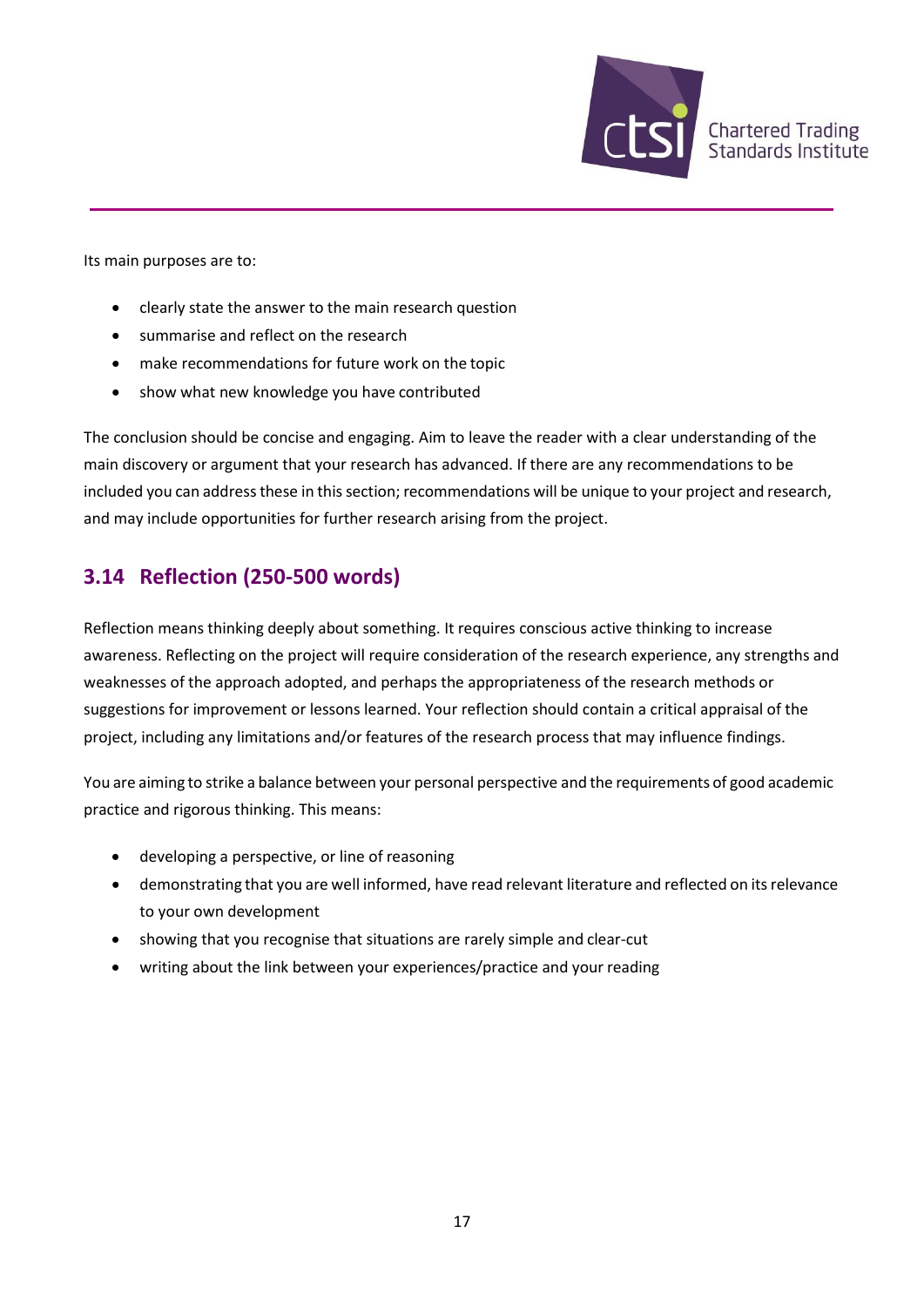

Its main purposes are to:

- clearly state the answer to the main research question
- summarise and reflect on the research
- make recommendations for future work on the topic
- show what new knowledge you have contributed

The conclusion should be concise and engaging. Aim to leave the reader with a clear understanding of the main discovery or argument that your research has advanced. If there are any recommendations to be included you can address these in this section; recommendations will be unique to your project and research, and may include opportunities for further research arising from the project.

#### **3.14 Reflection (250-500 words)**

Reflection means thinking deeply about something. It requires conscious active thinking to increase awareness. Reflecting on the project will require consideration of the research experience, any strengths and weaknesses of the approach adopted, and perhaps the appropriateness of the research methods or suggestions for improvement or lessons learned. Your reflection should contain a critical appraisal of the project, including any limitations and/or features of the research process that may influence findings.

You are aiming to strike a balance between your personal perspective and the requirements of good academic practice and rigorous thinking. This means:

- developing a perspective, or line of reasoning
- demonstrating that you are well informed, have read relevant literature and reflected on itsrelevance to your own development
- showing that you recognise that situations are rarely simple and clear-cut
- writing about the link between your experiences/practice and your reading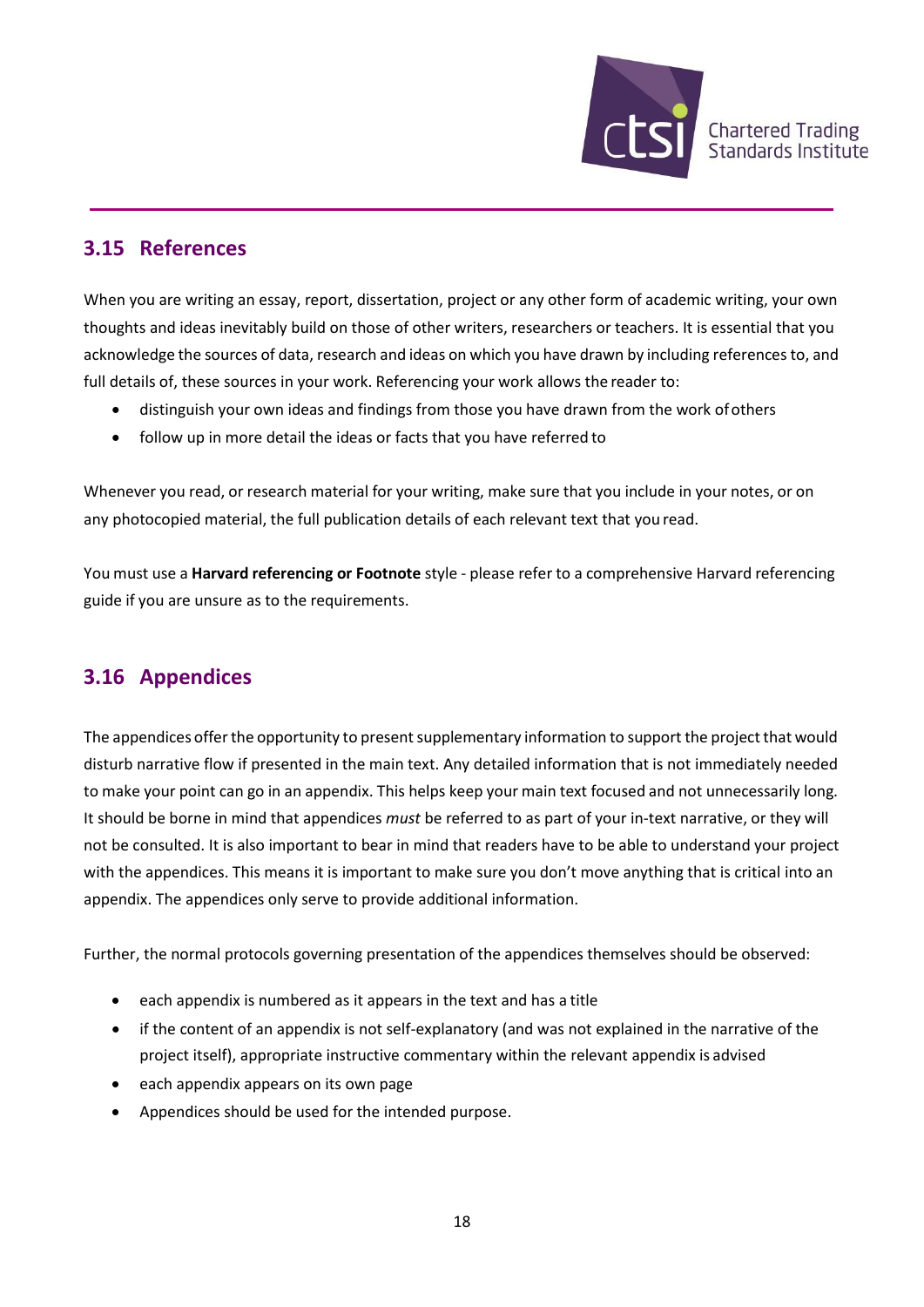

### **3.15 References**

When you are writing an essay, report, dissertation, project or any other form of academic writing, your own thoughts and ideas inevitably build on those of other writers, researchers or teachers. It is essential that you acknowledge the sources of data, research and ideas on which you have drawn by including references to, and full details of, these sources in your work. Referencing your work allows the reader to:

- distinguish your own ideas and findings from those you have drawn from the work ofothers
- follow up in more detail the ideas or facts that you have referred to

Whenever you read, or research material for your writing, make sure that you include in your notes, or on any photocopied material, the full publication details of each relevant text that you read.

You must use a **Harvard referencing or Footnote** style - please refer to a comprehensive Harvard referencing guide if you are unsure as to the requirements.

### **3.16 Appendices**

The appendices offer the opportunity to present supplementary information to support the project that would disturb narrative flow if presented in the main text. Any detailed information that is not immediately needed to make your point can go in an appendix. This helps keep your main text focused and not unnecessarily long. It should be borne in mind that appendices *must* be referred to as part of your in-text narrative, or they will not be consulted. It is also important to bear in mind that readers have to be able to understand your project with the appendices. This means it is important to make sure you don't move anything that is critical into an appendix. The appendices only serve to provide additional information.

Further, the normal protocols governing presentation of the appendices themselves should be observed:

- each appendix is numbered as it appears in the text and has a title
- if the content of an appendix is not self-explanatory (and was not explained in the narrative of the project itself), appropriate instructive commentary within the relevant appendix is advised
- each appendix appears on its own page
- Appendices should be used for the intended purpose.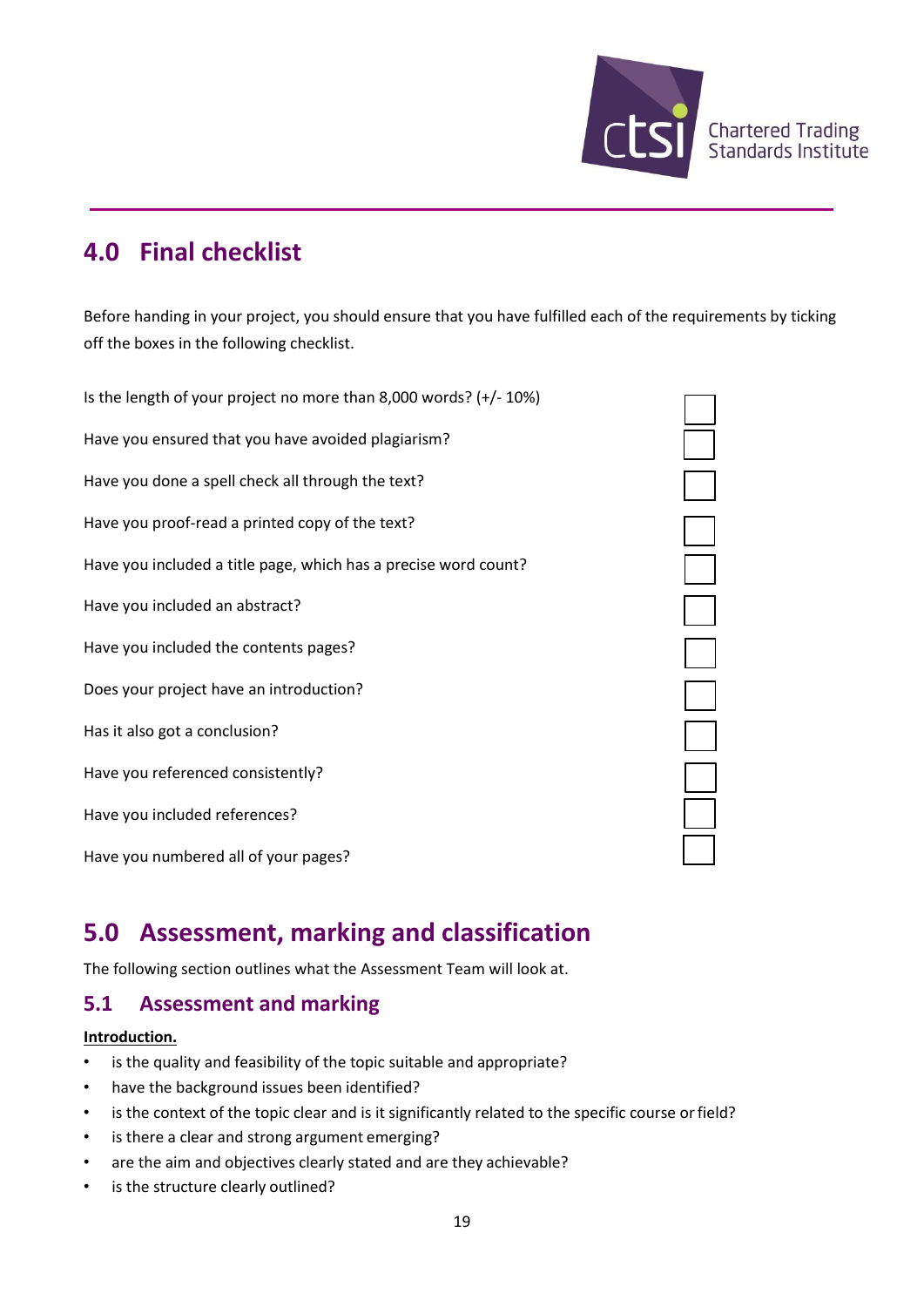

## **4.0 Final checklist**

Before handing in your project, you should ensure that you have fulfilled each of the requirements by ticking off the boxes in the following checklist.

Is the length of your project no more than 8,000 words? (+/- 10%) Have you ensured that you have avoided plagiarism? Have you done a spell check all through the text? Have you proof-read a printed copy of the text? Have you included a title page, which has a precise word count? Have you included an abstract? Have you included the contents pages? Does your project have an introduction? Has it also got a conclusion? Have you referenced consistently? Have you included references? Have you numbered all of your pages?



## **5.0 Assessment, marking and classification**

The following section outlines what the Assessment Team will look at.

#### **5.1 Assessment and marking**

#### **Introduction.**

- is the quality and feasibility of the topic suitable and appropriate?
- have the background issues been identified?
- is the context of the topic clear and is it significantly related to the specific course or field?
- is there a clear and strong argument emerging?
- are the aim and objectives clearly stated and are they achievable?
- is the structure clearly outlined?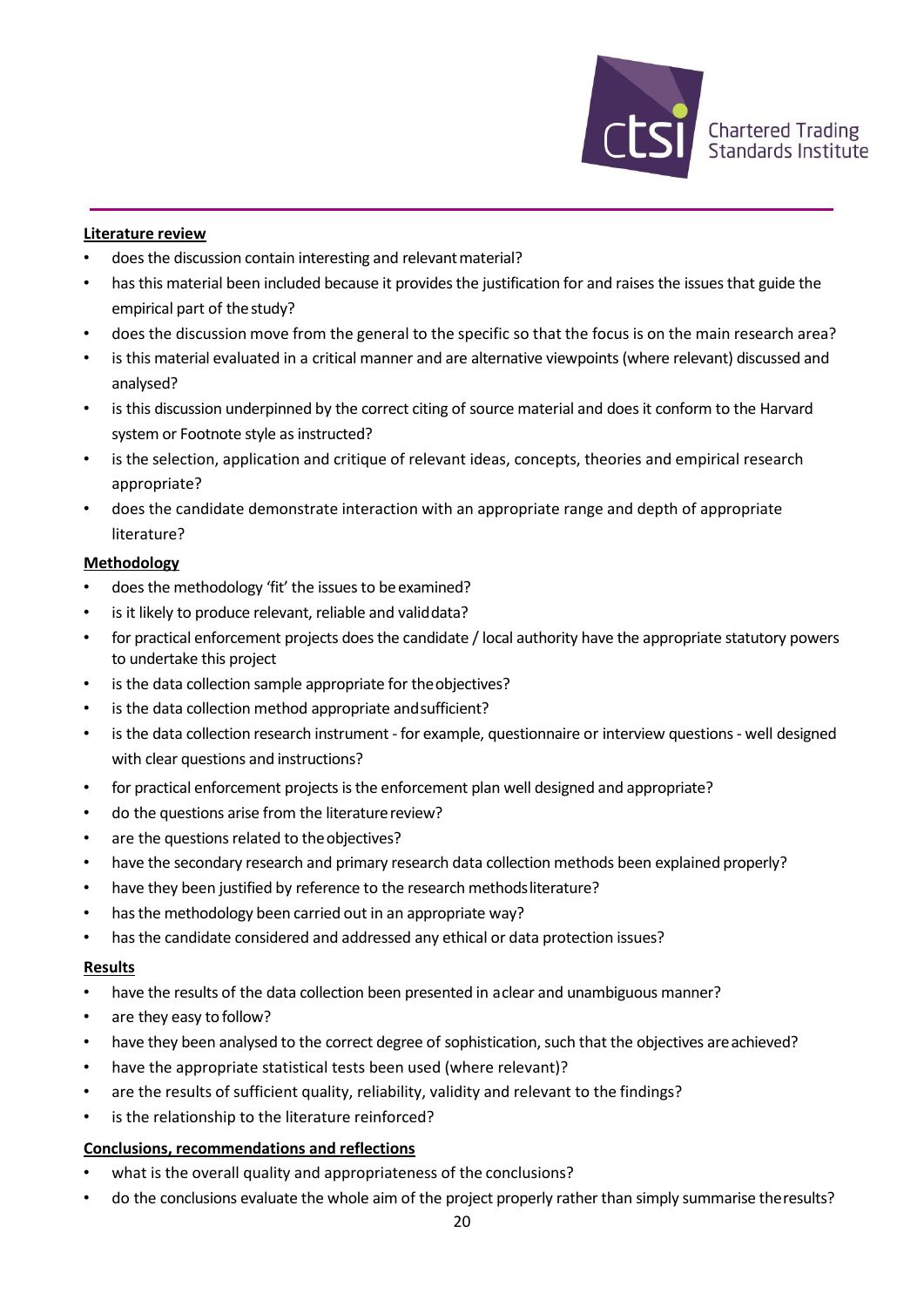

#### **Literature review**

- does the discussion contain interesting and relevant material?
- has this material been included because it provides the justification for and raises the issues that guide the empirical part of thestudy?
- does the discussion move from the general to the specific so that the focus is on the main research area?
- is this material evaluated in a critical manner and are alternative viewpoints (where relevant) discussed and analysed?
- is this discussion underpinned by the correct citing of source material and does it conform to the Harvard system or Footnote style as instructed?
- is the selection, application and critique of relevant ideas, concepts, theories and empirical research appropriate?
- does the candidate demonstrate interaction with an appropriate range and depth of appropriate literature?

#### **Methodology**

- does the methodology 'fit' the issues to be examined?
- is it likely to produce relevant, reliable and validdata?
- for practical enforcement projects does the candidate / local authority have the appropriate statutory powers to undertake this project
- is the data collection sample appropriate for the objectives?
- is the data collection method appropriate and sufficient?
- is the data collection research instrument for example, questionnaire or interview questions- well designed with clear questions and instructions?
- for practical enforcement projects is the enforcement plan well designed and appropriate?
- do the questions arise from the literature review?
- are the questions related to the objectives?
- have the secondary research and primary research data collection methods been explained properly?
- have they been justified by reference to the research methods literature?
- has the methodology been carried out in an appropriate way?
- has the candidate considered and addressed any ethical or data protection issues?

#### **Results**

- have the results of the data collection been presented in aclear and unambiguous manner?
- are they easy to follow?
- have they been analysed to the correct degree of sophistication, such that the objectives are achieved?
- have the appropriate statistical tests been used (where relevant)?
- are the results of sufficient quality, reliability, validity and relevant to the findings?
- is the relationship to the literature reinforced?

#### **Conclusions, recommendations and reflections**

- what is the overall quality and appropriateness of the conclusions?
- do the conclusions evaluate the whole aim of the project properly rather than simply summarise theresults?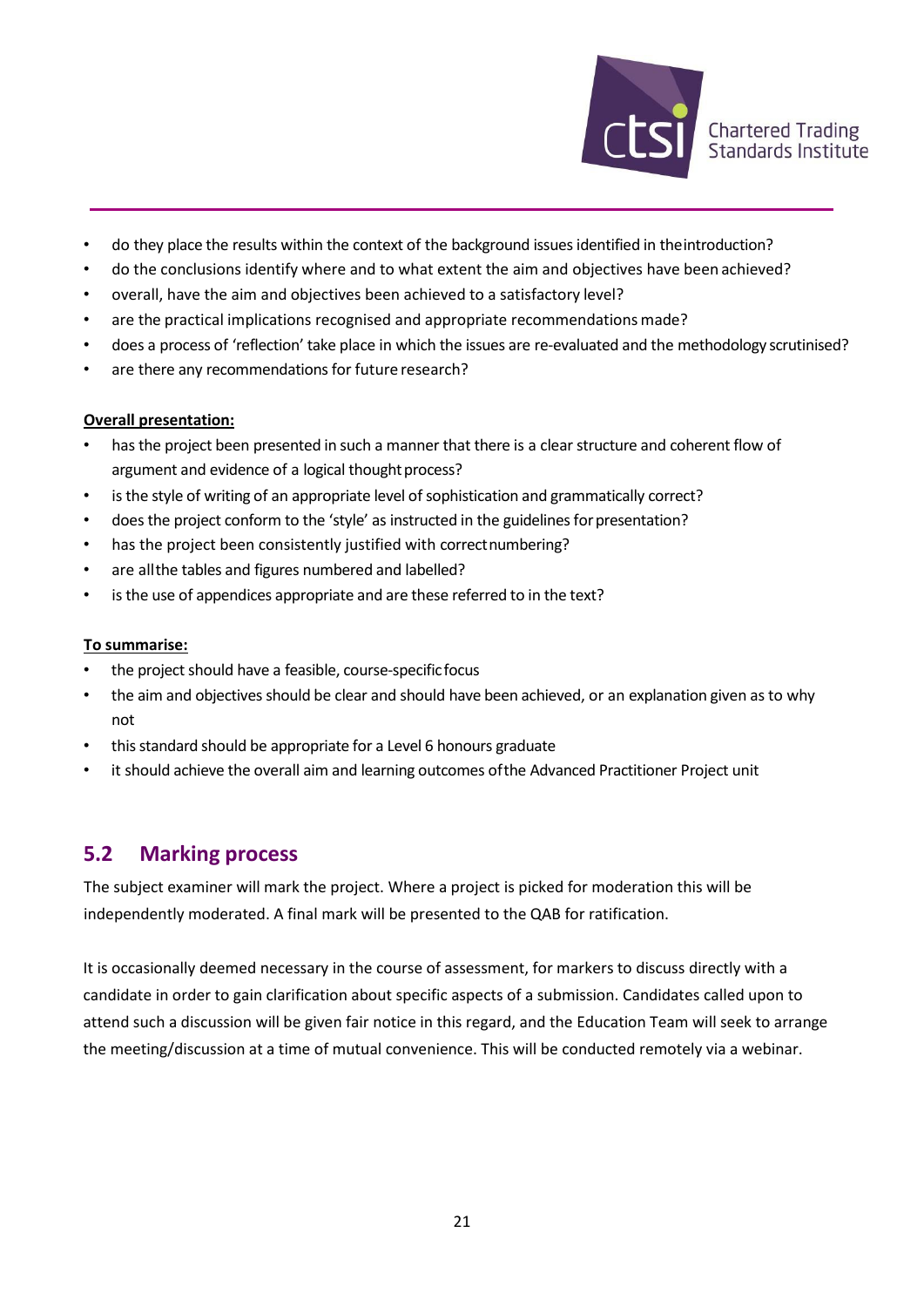

- do they place the results within the context of the background issues identified in theintroduction?
- do the conclusions identify where and to what extent the aim and objectives have been achieved?
- overall, have the aim and objectives been achieved to a satisfactory level?
- are the practical implications recognised and appropriate recommendations made?
- does a process of 'reflection' take place in which the issues are re-evaluated and the methodology scrutinised?
- are there any recommendations for future research?

#### **Overall presentation:**

- has the project been presented in such a manner that there is a clear structure and coherent flow of argument and evidence of a logical thought process?
- is the style of writing of an appropriate level of sophistication and grammatically correct?
- does the project conform to the 'style' as instructed in the guidelines for presentation?
- has the project been consistently justified with correctnumbering?
- are allthe tables and figures numbered and labelled?
- is the use of appendices appropriate and are these referred to in the text?

#### **To summarise:**

- the project should have a feasible, course-specific focus
- the aim and objectives should be clear and should have been achieved, or an explanation given as to why not
- this standard should be appropriate for a Level 6 honours graduate
- it should achieve the overall aim and learning outcomes ofthe Advanced Practitioner Project unit

#### **5.2 Marking process**

The subject examiner will mark the project. Where a project is picked for moderation this will be independently moderated. A final mark will be presented to the QAB for ratification.

It is occasionally deemed necessary in the course of assessment, for markers to discuss directly with a candidate in order to gain clarification about specific aspects of a submission. Candidates called upon to attend such a discussion will be given fair notice in this regard, and the Education Team will seek to arrange the meeting/discussion at a time of mutual convenience. This will be conducted remotely via a webinar.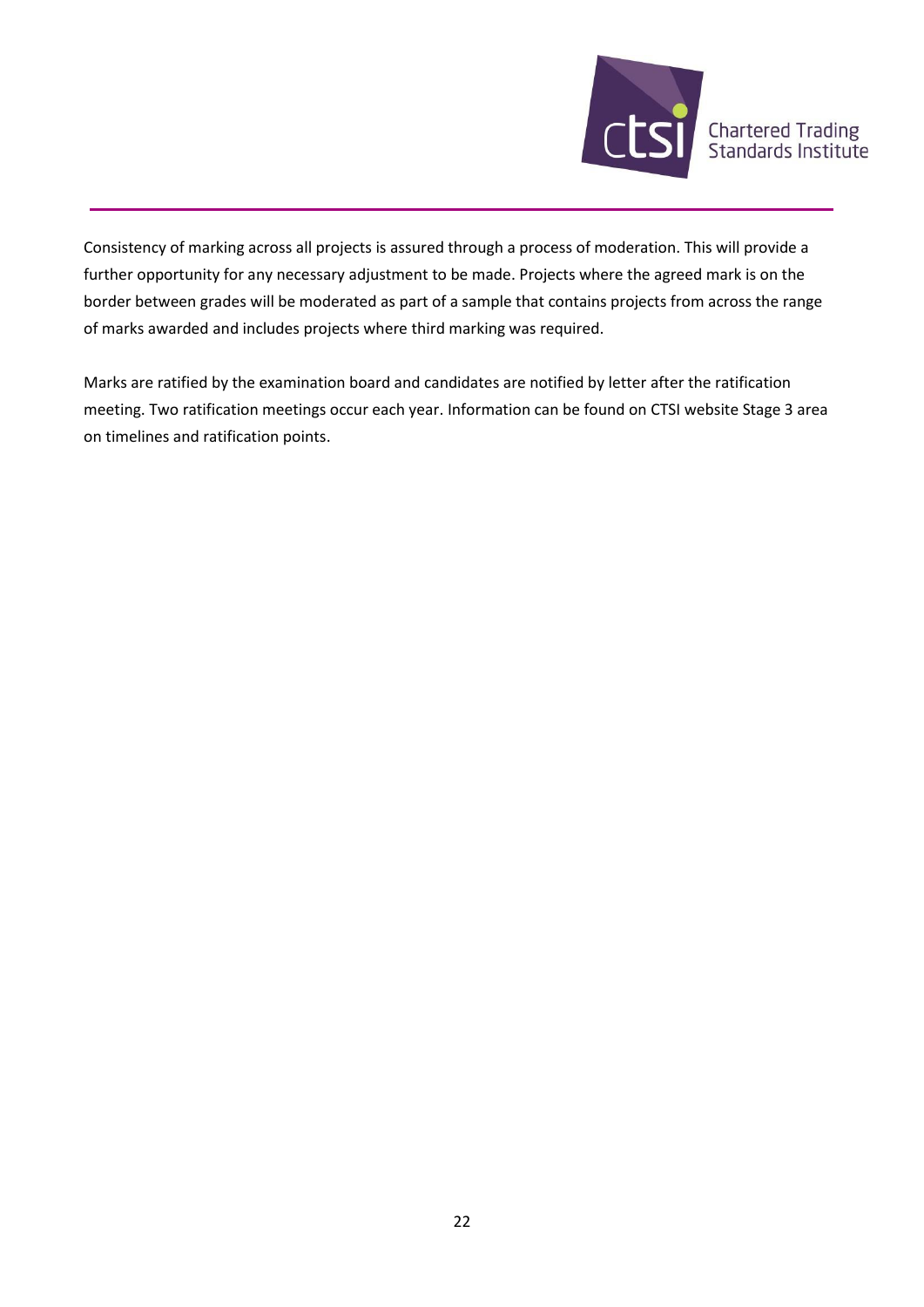

Consistency of marking across all projects is assured through a process of moderation. This will provide a further opportunity for any necessary adjustment to be made. Projects where the agreed mark is on the border between grades will be moderated as part of a sample that contains projects from across the range of marks awarded and includes projects where third marking was required.

Marks are ratified by the examination board and candidates are notified by letter after the ratification meeting. Two ratification meetings occur each year. Information can be found on CTSI website Stage 3 area on timelines and ratification points.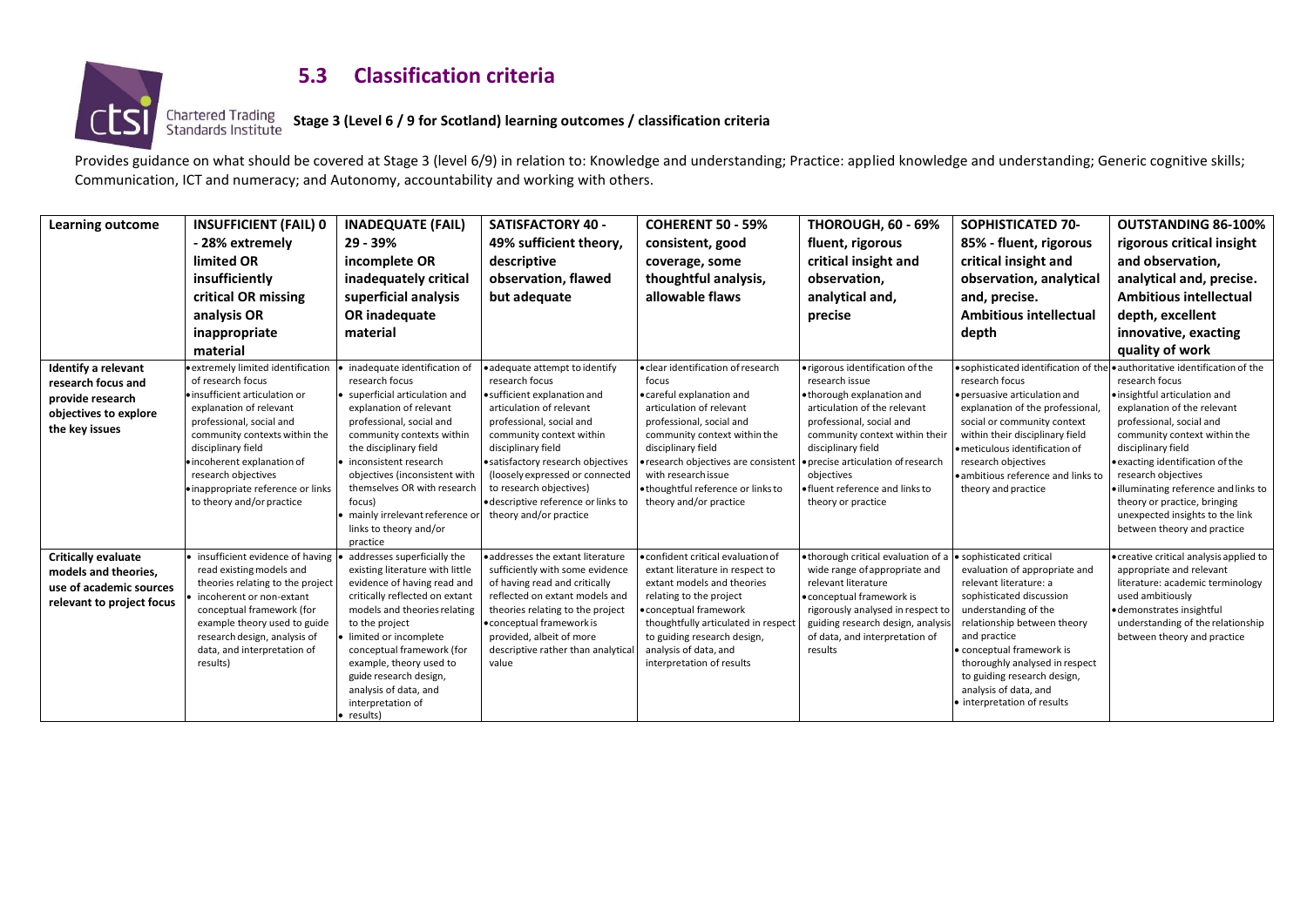

### **5.3 Classification criteria**

#### **Stage 3 (Level 6 / 9 for Scotland) learning outcomes / classification criteria**

Provides guidance on what should be covered at Stage 3 (level 6/9) in relation to: Knowledge and understanding; Practice: applied knowledge and understanding; Generic cognitive skills; Communication, ICT and numeracy; and Autonomy, accountability and working with others.

| <b>Learning outcome</b>                                                                                         | <b>INSUFFICIENT (FAIL) 0</b><br>- 28% extremely<br>limited OR<br>insufficiently<br>critical OR missing<br>analysis OR<br>inappropriate<br>material                                                                                                                                                                                                              | <b>INADEQUATE (FAIL)</b><br>29 - 39%<br>incomplete OR<br>inadequately critical<br>superficial analysis<br>OR inadequate<br>material                                                                                                                                                                                                                      | <b>SATISFACTORY 40 -</b><br>49% sufficient theory,<br>descriptive<br>observation, flawed<br>but adequate                                                                                                                                                                                                                                                      | <b>COHERENT 50 - 59%</b><br>consistent, good<br>coverage, some<br>thoughtful analysis,<br>allowable flaws                                                                                                                                                                                                             | <b>THOROUGH, 60 - 69%</b><br>fluent, rigorous<br>critical insight and<br>observation.<br>analytical and,<br>precise                                                                                                                                                                                               | SOPHISTICATED 70-<br>85% - fluent, rigorous<br>critical insight and<br>observation, analytical<br>and, precise.<br><b>Ambitious intellectual</b><br>depth                                                                                                                                                                                    | <b>OUTSTANDING 86-100%</b><br>rigorous critical insight<br>and observation,<br>analytical and, precise.<br><b>Ambitious intellectual</b><br>depth, excellent<br>innovative, exacting<br>quality of work                                                                                                                                                                                                                                               |
|-----------------------------------------------------------------------------------------------------------------|-----------------------------------------------------------------------------------------------------------------------------------------------------------------------------------------------------------------------------------------------------------------------------------------------------------------------------------------------------------------|----------------------------------------------------------------------------------------------------------------------------------------------------------------------------------------------------------------------------------------------------------------------------------------------------------------------------------------------------------|---------------------------------------------------------------------------------------------------------------------------------------------------------------------------------------------------------------------------------------------------------------------------------------------------------------------------------------------------------------|-----------------------------------------------------------------------------------------------------------------------------------------------------------------------------------------------------------------------------------------------------------------------------------------------------------------------|-------------------------------------------------------------------------------------------------------------------------------------------------------------------------------------------------------------------------------------------------------------------------------------------------------------------|----------------------------------------------------------------------------------------------------------------------------------------------------------------------------------------------------------------------------------------------------------------------------------------------------------------------------------------------|-------------------------------------------------------------------------------------------------------------------------------------------------------------------------------------------------------------------------------------------------------------------------------------------------------------------------------------------------------------------------------------------------------------------------------------------------------|
| <b>Identify a relevant</b><br>research focus and<br>provide research<br>objectives to explore<br>the key issues | • extremely limited identification • inadequate identification of<br>of research focus<br>· insufficient articulation or<br>explanation of relevant<br>professional, social and<br>community contexts within the<br>disciplinary field<br>· incoherent explanation of<br>research objectives<br>· inappropriate reference or links<br>to theory and/or practice | research focus<br>• superficial articulation and<br>explanation of relevant<br>professional, social and<br>community contexts within<br>the disciplinary field<br>• inconsistent research<br>objectives (inconsistent with<br>themselves OR with research<br>focus)<br>mainly irrelevant reference o<br>links to theory and/or<br>practice               | ·adequate attempt to identify<br>research focus<br>• sufficient explanation and<br>articulation of relevant<br>professional, social and<br>community context within<br>disciplinary field<br>·satisfactory research objectives<br>(loosely expressed or connected<br>to research objectives)<br>· descriptive reference or links to<br>theory and/or practice | · clear identification of research<br>focus<br>· careful explanation and<br>articulation of relevant<br>professional, social and<br>community context within the<br>disciplinary field<br>· research objectives are consistent<br>with research issue<br>· thoughtful reference or links to<br>theory and/or practice | · rigorous identification of the<br>research issue<br>. thorough explanation and<br>articulation of the relevant<br>professional, social and<br>community context within their<br>disciplinary field<br>· precise articulation of research<br>objectives<br>· fluent reference and links to<br>theory or practice | research focus<br>· persuasive articulation and<br>explanation of the professional<br>social or community context<br>within their disciplinary field<br>. meticulous identification of<br>research objectives<br>. ambitious reference and links to<br>theory and practice                                                                   | ● sophisticated identification of the ● authoritative identification of the<br>research focus<br>. insightful articulation and<br>explanation of the relevant<br>professional, social and<br>community context within the<br>disciplinary field<br>• exacting identification of the<br>research objectives<br>· illuminating reference and links to<br>theory or practice, bringing<br>unexpected insights to the link<br>between theory and practice |
| <b>Critically evaluate</b><br>models and theories,<br>use of academic sources<br>relevant to project focus      | • insufficient evidence of having<br>read existing models and<br>theories relating to the project<br>incoherent or non-extant<br>conceptual framework (for<br>example theory used to guide<br>research design, analysis of<br>data, and interpretation of<br>results)                                                                                           | addresses superficially the<br>existing literature with little<br>evidence of having read and<br>critically reflected on extant<br>models and theories relating<br>to the project<br>limited or incomplete<br>conceptual framework (for<br>example, theory used to<br>guide research design,<br>analysis of data, and<br>interpretation of<br>• results) | · addresses the extant literature<br>sufficiently with some evidence<br>of having read and critically<br>reflected on extant models and<br>theories relating to the project<br>• conceptual framework is<br>provided, albeit of more<br>descriptive rather than analytica<br>value                                                                            | · confident critical evaluation of<br>extant literature in respect to<br>extant models and theories<br>relating to the project<br>conceptual framework<br>thoughtfully articulated in respect<br>to guiding research design,<br>analysis of data, and<br>interpretation of results                                    | . thorough critical evaluation of a<br>wide range of appropriate and<br>relevant literature<br>. conceptual framework is<br>rigorously analysed in respect to<br>guiding research design, analysi<br>of data, and interpretation of<br>results                                                                    | · sophisticated critical<br>evaluation of appropriate and<br>relevant literature: a<br>sophisticated discussion<br>understanding of the<br>relationship between theory<br>and practice<br>· conceptual framework is<br>thoroughly analysed in respect<br>to guiding research design,<br>analysis of data, and<br>• interpretation of results | • creative critical analysis applied to<br>appropriate and relevant<br>literature: academic terminology<br>used ambitiously<br>· demonstrates insightful<br>understanding of the relationship<br>between theory and practice                                                                                                                                                                                                                          |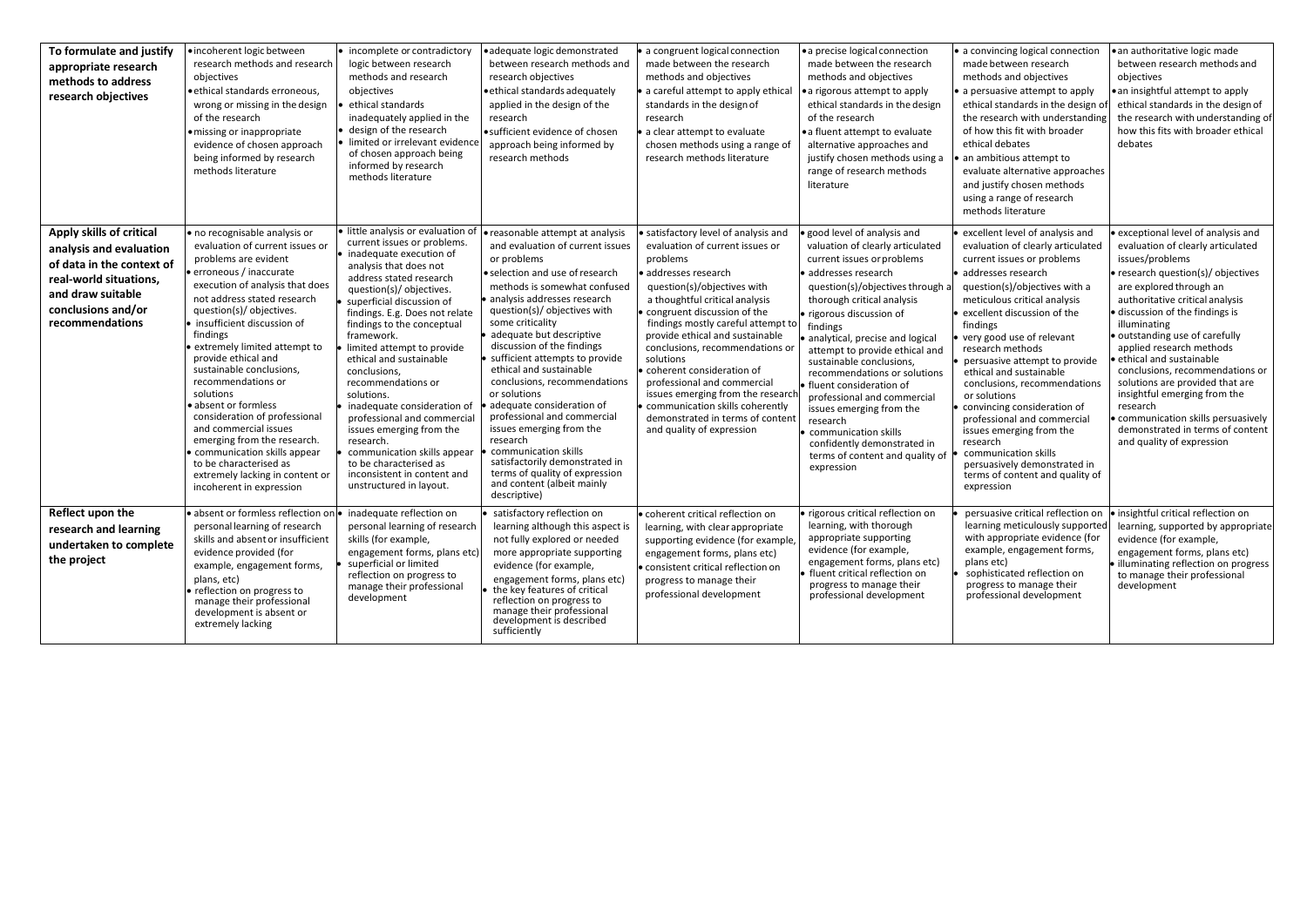| To formulate and justify<br>appropriate research<br>methods to address<br>research objectives                                                                            | ·incoherent logic between<br>research methods and research<br>objectives<br>·ethical standards erroneous,<br>wrong or missing in the design<br>of the research<br>· missing or inappropriate<br>evidence of chosen approach<br>being informed by research<br>methods literature                                                                                                                                                                                                                                                                                                                                           | • incomplete or contradictory<br>logic between research<br>methods and research<br>objectives<br>ethical standards<br>inadequately applied in the<br>design of the research<br>limited or irrelevant evidence<br>of chosen approach being<br>informed by research<br>methods literature                                                                                                                                                                                                                                                                                                                                         | ·adequate logic demonstrated<br>between research methods and<br>research objectives<br>· ethical standards adequately<br>applied in the design of the<br>research<br>· sufficient evidence of chosen<br>approach being informed by<br>research methods                                                                                                                                                                                                                                                                                                                                                                                                           | a congruent logical connection<br>made between the research<br>methods and objectives<br>a careful attempt to apply ethical<br>standards in the design of<br>research<br>a clear attempt to evaluate<br>chosen methods using a range of<br>research methods literature                                                                                                                                                                                                                                                                | • a precise logical connection<br>made between the research<br>methods and objectives<br>a rigorous attempt to apply<br>ethical standards in the design<br>of the research<br>• a fluent attempt to evaluate<br>alternative approaches and<br>justify chosen methods using a<br>range of research methods<br>literature                                                                                                                                                                                                                                               | • a convincing logical connection<br>made between research<br>methods and objectives<br>a persuasive attempt to apply<br>ethical standards in the design of<br>the research with understanding<br>of how this fit with broader<br>ethical debates<br>an ambitious attempt to<br>evaluate alternative approaches<br>and justify chosen methods<br>using a range of research<br>methods literature                                                                                                                                                                                                                 | · an authoritative logic made<br>between research methods and<br>objectives<br>• an insightful attempt to apply<br>ethical standards in the design of<br>the research with understanding of<br>how this fits with broader ethical<br>debates                                                                                                                                                                                                                                                                                                                      |
|--------------------------------------------------------------------------------------------------------------------------------------------------------------------------|---------------------------------------------------------------------------------------------------------------------------------------------------------------------------------------------------------------------------------------------------------------------------------------------------------------------------------------------------------------------------------------------------------------------------------------------------------------------------------------------------------------------------------------------------------------------------------------------------------------------------|---------------------------------------------------------------------------------------------------------------------------------------------------------------------------------------------------------------------------------------------------------------------------------------------------------------------------------------------------------------------------------------------------------------------------------------------------------------------------------------------------------------------------------------------------------------------------------------------------------------------------------|------------------------------------------------------------------------------------------------------------------------------------------------------------------------------------------------------------------------------------------------------------------------------------------------------------------------------------------------------------------------------------------------------------------------------------------------------------------------------------------------------------------------------------------------------------------------------------------------------------------------------------------------------------------|---------------------------------------------------------------------------------------------------------------------------------------------------------------------------------------------------------------------------------------------------------------------------------------------------------------------------------------------------------------------------------------------------------------------------------------------------------------------------------------------------------------------------------------|-----------------------------------------------------------------------------------------------------------------------------------------------------------------------------------------------------------------------------------------------------------------------------------------------------------------------------------------------------------------------------------------------------------------------------------------------------------------------------------------------------------------------------------------------------------------------|------------------------------------------------------------------------------------------------------------------------------------------------------------------------------------------------------------------------------------------------------------------------------------------------------------------------------------------------------------------------------------------------------------------------------------------------------------------------------------------------------------------------------------------------------------------------------------------------------------------|-------------------------------------------------------------------------------------------------------------------------------------------------------------------------------------------------------------------------------------------------------------------------------------------------------------------------------------------------------------------------------------------------------------------------------------------------------------------------------------------------------------------------------------------------------------------|
| Apply skills of critical<br>analysis and evaluation<br>of data in the context of<br>real-world situations,<br>and draw suitable<br>conclusions and/or<br>recommendations | · no recognisable analysis or<br>evaluation of current issues or<br>problems are evident<br>• erroneous / inaccurate<br>execution of analysis that does<br>not address stated research<br>question(s)/ objectives.<br>insufficient discussion of<br>findings<br>extremely limited attempt to<br>provide ethical and<br>sustainable conclusions,<br>recommendations or<br>solutions<br>absent or formless<br>consideration of professional<br>and commercial issues<br>emerging from the research.<br>communication skills appear<br>to be characterised as<br>extremely lacking in content or<br>incoherent in expression | · little analysis or evaluation of<br>current issues or problems.<br>inadequate execution of<br>analysis that does not<br>address stated research<br>question(s)/ objectives.<br>superficial discussion of<br>findings. E.g. Does not relate<br>findings to the conceptual<br>framework.<br>limited attempt to provide<br>ethical and sustainable<br>conclusions.<br>recommendations or<br>solutions.<br>inadequate consideration of<br>professional and commercial<br>issues emerging from the<br>research.<br>communication skills appear<br>to be characterised as<br>inconsistent in content and<br>unstructured in layout. | • reasonable attempt at analysis<br>and evaluation of current issues<br>or problems<br>· selection and use of research<br>methods is somewhat confused<br>· analysis addresses research<br>question(s)/ objectives with<br>some criticality<br>adequate but descriptive<br>discussion of the findings<br>sufficient attempts to provide<br>ethical and sustainable<br>conclusions, recommendations<br>or solutions<br>adequate consideration of<br>professional and commercial<br>issues emerging from the<br>research<br>communication skills<br>satisfactorily demonstrated in<br>terms of quality of expression<br>and content (albeit mainly<br>descriptive) | satisfactory level of analysis and<br>evaluation of current issues or<br>problems<br>addresses research<br>question(s)/objectives with<br>a thoughtful critical analysis<br>congruent discussion of the<br>findings mostly careful attempt to<br>provide ethical and sustainable<br>conclusions, recommendations or<br>solutions<br>coherent consideration of<br>professional and commercial<br>issues emerging from the research<br>communication skills coherently<br>demonstrated in terms of content<br>and quality of expression | good level of analysis and<br>valuation of clearly articulated<br>current issues or problems<br>addresses research<br>question(s)/objectives through a<br>thorough critical analysis<br>rigorous discussion of<br>findings<br>analytical, precise and logical<br>attempt to provide ethical and<br>sustainable conclusions,<br>recommendations or solutions<br>fluent consideration of<br>professional and commercial<br>issues emerging from the<br>research<br>communication skills<br>confidently demonstrated in<br>terms of content and quality of<br>expression | excellent level of analysis and<br>evaluation of clearly articulated<br>current issues or problems<br>addresses research<br>question(s)/objectives with a<br>meticulous critical analysis<br>excellent discussion of the<br>findings<br>very good use of relevant<br>research methods<br>persuasive attempt to provide<br>ethical and sustainable<br>conclusions, recommendations<br>or solutions<br>convincing consideration of<br>professional and commercial<br>issues emerging from the<br>research<br>communication skills<br>persuasively demonstrated in<br>terms of content and quality of<br>expression | exceptional level of analysis and<br>evaluation of clearly articulated<br>issues/problems<br>· research question(s)/ objectives<br>are explored through an<br>authoritative critical analysis<br>· discussion of the findings is<br>illuminating<br>· outstanding use of carefully<br>applied research methods<br>ethical and sustainable<br>conclusions, recommendations or<br>solutions are provided that are<br>insightful emerging from the<br>research<br>communication skills persuasively<br>demonstrated in terms of content<br>and quality of expression |
| Reflect upon the<br>research and learning<br>undertaken to complete<br>the project                                                                                       | absent or formless reflection or<br>personal learning of research<br>skills and absent or insufficient<br>evidence provided (for<br>example, engagement forms,<br>plans, etc)<br>reflection on progress to<br>manage their professional<br>development is absent or<br>extremely lacking                                                                                                                                                                                                                                                                                                                                  | inadequate reflection on<br>personal learning of research<br>skills (for example,<br>engagement forms, plans etc)<br>superficial or limited<br>reflection on progress to<br>manage their professional<br>development                                                                                                                                                                                                                                                                                                                                                                                                            | satisfactory reflection on<br>learning although this aspect is<br>not fully explored or needed<br>more appropriate supporting<br>evidence (for example,<br>engagement forms, plans etc)<br>the key features of critical<br>reflection on progress to<br>manage their professional<br>development is described<br>sufficiently                                                                                                                                                                                                                                                                                                                                    | · coherent critical reflection on<br>learning, with clear appropriate<br>supporting evidence (for example,<br>engagement forms, plans etc)<br>consistent critical reflection on<br>progress to manage their<br>professional development                                                                                                                                                                                                                                                                                               | rigorous critical reflection on<br>learning, with thorough<br>appropriate supporting<br>evidence (for example,<br>engagement forms, plans etc)<br>fluent critical reflection on<br>progress to manage their<br>professional development                                                                                                                                                                                                                                                                                                                               | persuasive critical reflection on<br>learning meticulously supported<br>with appropriate evidence (for<br>example, engagement forms,<br>plans etc)<br>sophisticated reflection on<br>progress to manage their<br>professional development                                                                                                                                                                                                                                                                                                                                                                        | insightful critical reflection on<br>learning, supported by appropriate<br>evidence (for example,<br>engagement forms, plans etc)<br>· illuminating reflection on progress<br>to manage their professional<br>development                                                                                                                                                                                                                                                                                                                                         |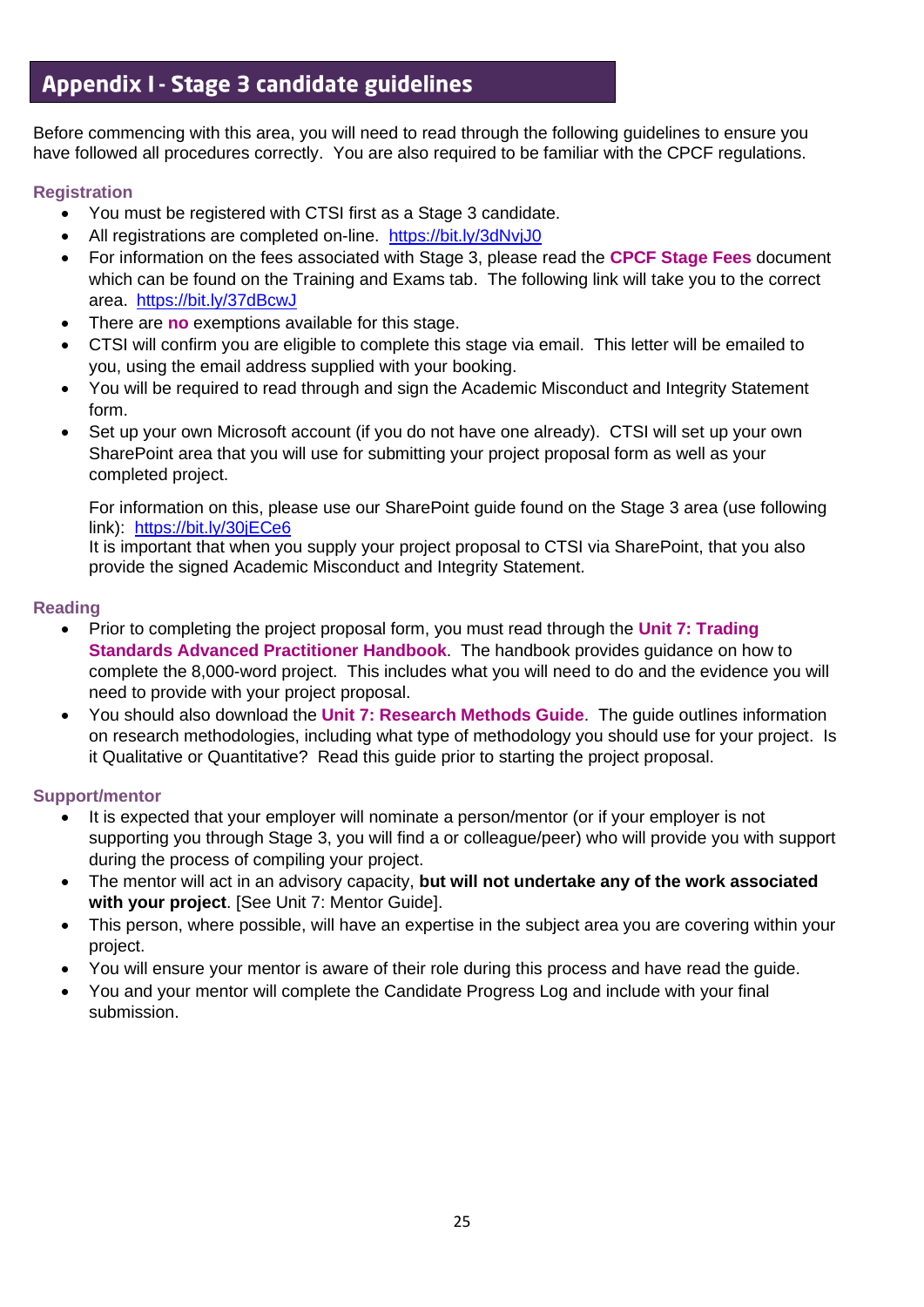## Appendix I - Stage 3 candidate guidelines

Before commencing with this area, you will need to read through the following guidelines to ensure you have followed all procedures correctly. You are also required to be familiar with the CPCF regulations.

#### **Registration**

- You must be registered with CTSI first as a Stage 3 candidate.
- All registrations are completed on-line. <https://bit.ly/3dNvjJ0>
- For information on the fees associated with Stage 3, please read the **CPCF Stage Fees** document which can be found on the Training and Exams tab. The following link will take you to the correct area. <https://bit.ly/37dBcwJ>
- There are **no** exemptions available for this stage.
- CTSI will confirm you are eligible to complete this stage via email. This letter will be emailed to you, using the email address supplied with your booking.
- You will be required to read through and sign the Academic Misconduct and Integrity Statement form.
- Set up your own Microsoft account (if you do not have one already). CTSI will set up your own SharePoint area that you will use for submitting your project proposal form as well as your completed project.

For information on this, please use our SharePoint guide found on the Stage 3 area (use following link): <https://bit.ly/30jECe6>

It is important that when you supply your project proposal to CTSI via SharePoint, that you also provide the signed Academic Misconduct and Integrity Statement.

#### **Reading**

- Prior to completing the project proposal form, you must read through the **Unit 7: Trading Standards Advanced Practitioner Handbook**. The handbook provides guidance on how to complete the 8,000-word project. This includes what you will need to do and the evidence you will need to provide with your project proposal.
- You should also download the **Unit 7: Research Methods Guide**. The guide outlines information on research methodologies, including what type of methodology you should use for your project. Is it Qualitative or Quantitative? Read this guide prior to starting the project proposal.

#### **Support/mentor**

- It is expected that your employer will nominate a person/mentor (or if your employer is not supporting you through Stage 3, you will find a or colleague/peer) who will provide you with support during the process of compiling your project.
- The mentor will act in an advisory capacity, **but will not undertake any of the work associated with your project**. [See Unit 7: Mentor Guide].
- This person, where possible, will have an expertise in the subject area you are covering within your project.
- You will ensure your mentor is aware of their role during this process and have read the guide.
- You and your mentor will complete the Candidate Progress Log and include with your final submission.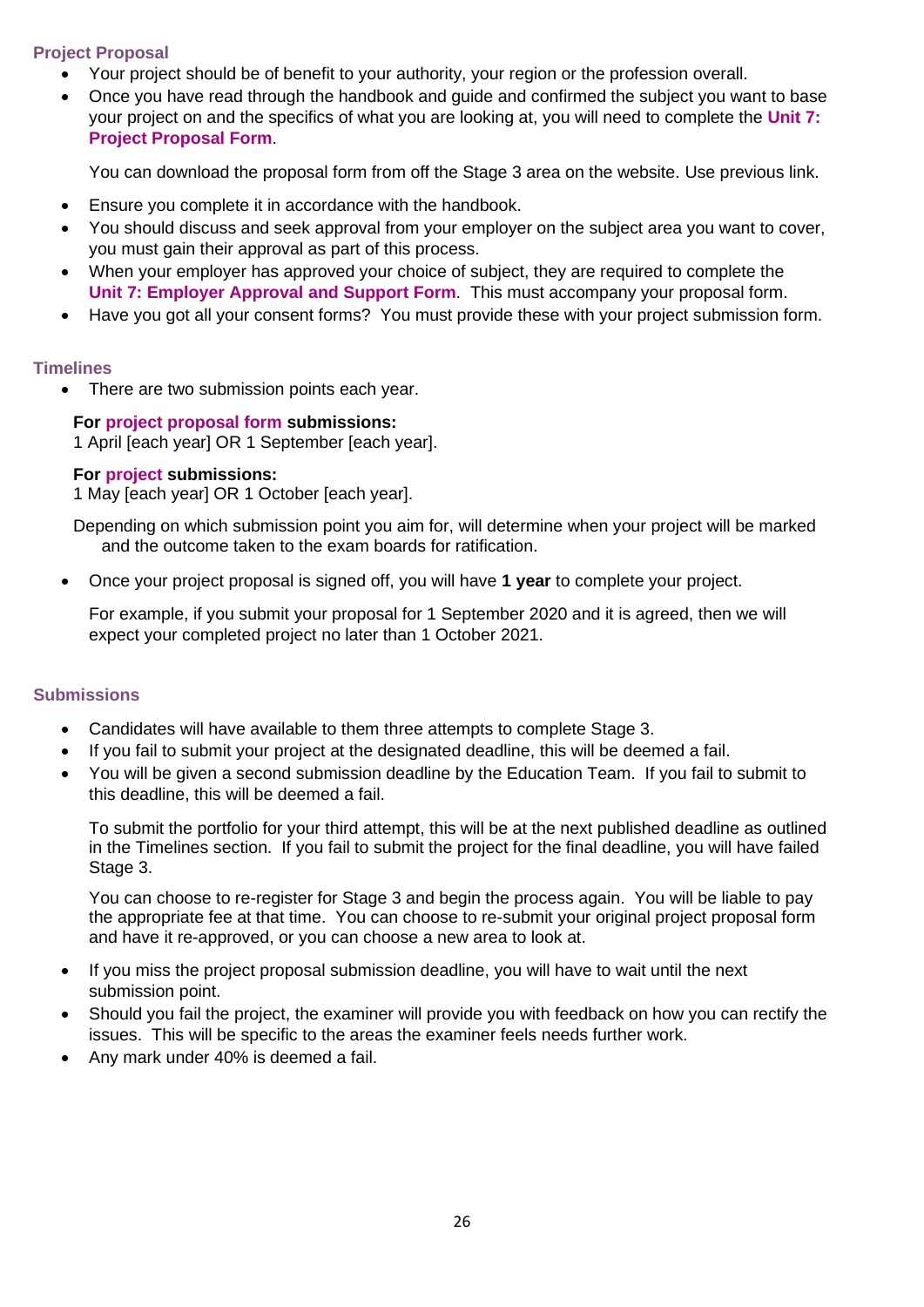#### **Project Proposal**

- Your project should be of benefit to your authority, your region or the profession overall.
- Once you have read through the handbook and guide and confirmed the subject you want to base your project on and the specifics of what you are looking at, you will need to complete the **Unit 7: Project Proposal Form**.

You can download the proposal form from off the Stage 3 area on the website. Use previous link.

- Ensure you complete it in accordance with the handbook.
- You should discuss and seek approval from your employer on the subject area you want to cover, you must gain their approval as part of this process.
- When your employer has approved your choice of subject, they are required to complete the **Unit 7: Employer Approval and Support Form**. This must accompany your proposal form.
- Have you got all your consent forms? You must provide these with your project submission form.

#### **Timelines**

• There are two submission points each year.

#### **For project proposal form submissions:**

1 April [each year] OR 1 September [each year].

#### **For project submissions:**

1 May [each year] OR 1 October [each year].

Depending on which submission point you aim for, will determine when your project will be marked and the outcome taken to the exam boards for ratification.

• Once your project proposal is signed off, you will have **1 year** to complete your project.

For example, if you submit your proposal for 1 September 2020 and it is agreed, then we will expect your completed project no later than 1 October 2021.

#### **Submissions**

- Candidates will have available to them three attempts to complete Stage 3.
- If you fail to submit your project at the designated deadline, this will be deemed a fail.
- You will be given a second submission deadline by the Education Team. If you fail to submit to this deadline, this will be deemed a fail.

To submit the portfolio for your third attempt, this will be at the next published deadline as outlined in the Timelines section. If you fail to submit the project for the final deadline, you will have failed Stage 3.

You can choose to re-register for Stage 3 and begin the process again. You will be liable to pay the appropriate fee at that time. You can choose to re-submit your original project proposal form and have it re-approved, or you can choose a new area to look at.

- If you miss the project proposal submission deadline, you will have to wait until the next submission point.
- Should you fail the project, the examiner will provide you with feedback on how you can rectify the issues. This will be specific to the areas the examiner feels needs further work.
- Any mark under 40% is deemed a fail.